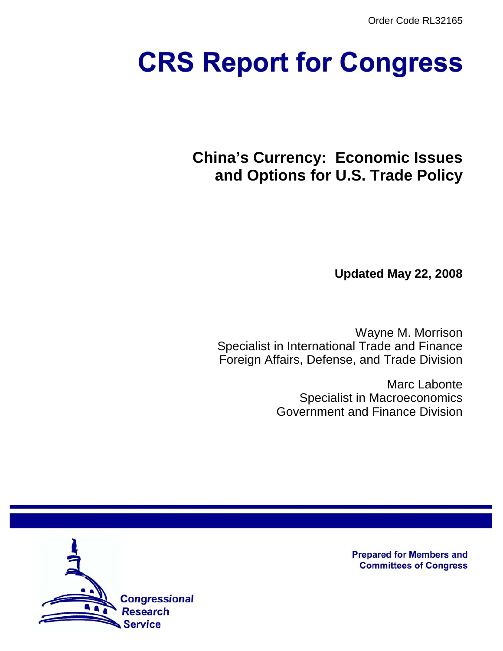# **CRS Report for Congress**

# **China's Currency: Economic Issues and Options for U.S. Trade Policy**

**Updated May 22, 2008**

Wayne M. Morrison Specialist in International Trade and Finance Foreign Affairs, Defense, and Trade Division

> Marc Labonte Specialist in Macroeconomics Government and Finance Division



**Prepared for Members and Committees of Congress**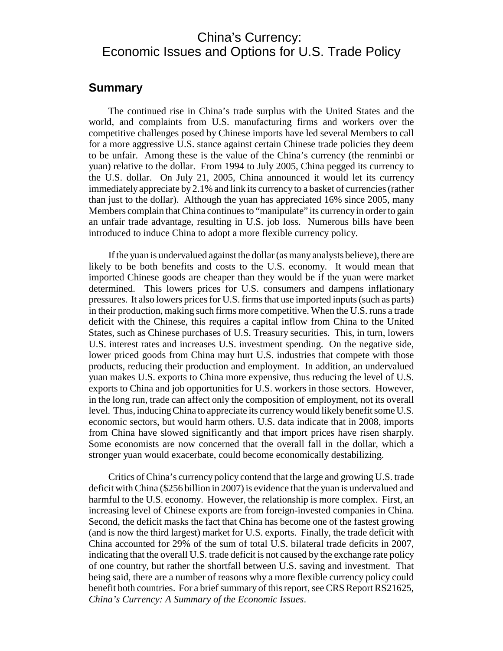## China's Currency: Economic Issues and Options for U.S. Trade Policy

#### **Summary**

The continued rise in China's trade surplus with the United States and the world, and complaints from U.S. manufacturing firms and workers over the competitive challenges posed by Chinese imports have led several Members to call for a more aggressive U.S. stance against certain Chinese trade policies they deem to be unfair. Among these is the value of the China's currency (the renminbi or yuan) relative to the dollar. From 1994 to July 2005, China pegged its currency to the U.S. dollar. On July 21, 2005, China announced it would let its currency immediately appreciate by 2.1% and link its currency to a basket of currencies (rather than just to the dollar). Although the yuan has appreciated 16% since 2005, many Members complain that China continues to "manipulate" its currency in order to gain an unfair trade advantage, resulting in U.S. job loss. Numerous bills have been introduced to induce China to adopt a more flexible currency policy.

If the yuan is undervalued against the dollar (as many analysts believe), there are likely to be both benefits and costs to the U.S. economy. It would mean that imported Chinese goods are cheaper than they would be if the yuan were market determined. This lowers prices for U.S. consumers and dampens inflationary pressures. It also lowers prices for U.S. firms that use imported inputs (such as parts) in their production, making such firms more competitive. When the U.S. runs a trade deficit with the Chinese, this requires a capital inflow from China to the United States, such as Chinese purchases of U.S. Treasury securities. This, in turn, lowers U.S. interest rates and increases U.S. investment spending. On the negative side, lower priced goods from China may hurt U.S. industries that compete with those products, reducing their production and employment. In addition, an undervalued yuan makes U.S. exports to China more expensive, thus reducing the level of U.S. exports to China and job opportunities for U.S. workers in those sectors. However, in the long run, trade can affect only the composition of employment, not its overall level. Thus, inducing China to appreciate its currency would likely benefit some U.S. economic sectors, but would harm others. U.S. data indicate that in 2008, imports from China have slowed significantly and that import prices have risen sharply. Some economists are now concerned that the overall fall in the dollar, which a stronger yuan would exacerbate, could become economically destabilizing.

Critics of China's currency policy contend that the large and growing U.S. trade deficit with China (\$256 billion in 2007) is evidence that the yuan is undervalued and harmful to the U.S. economy. However, the relationship is more complex. First, an increasing level of Chinese exports are from foreign-invested companies in China. Second, the deficit masks the fact that China has become one of the fastest growing (and is now the third largest) market for U.S. exports. Finally, the trade deficit with China accounted for 29% of the sum of total U.S. bilateral trade deficits in 2007, indicating that the overall U.S. trade deficit is not caused by the exchange rate policy of one country, but rather the shortfall between U.S. saving and investment. That being said, there are a number of reasons why a more flexible currency policy could benefit both countries. For a brief summary of this report, see CRS Report RS21625, *China's Currency: A Summary of the Economic Issues*.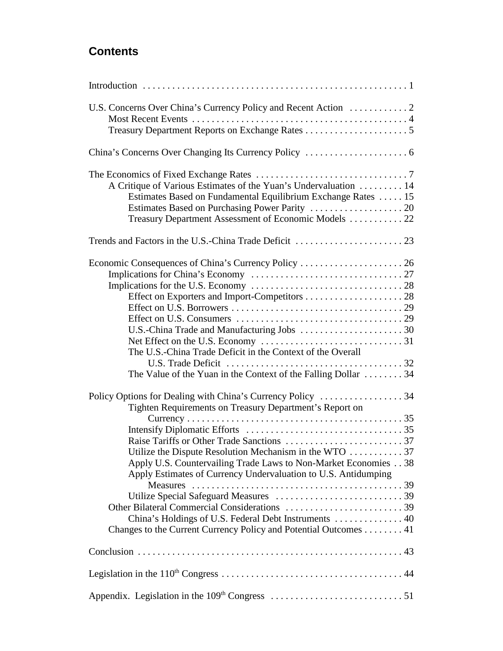## **Contents**

| A Critique of Various Estimates of the Yuan's Undervaluation  14                                                                  |  |
|-----------------------------------------------------------------------------------------------------------------------------------|--|
| Estimates Based on Fundamental Equilibrium Exchange Rates  15                                                                     |  |
| Treasury Department Assessment of Economic Models  22                                                                             |  |
|                                                                                                                                   |  |
|                                                                                                                                   |  |
|                                                                                                                                   |  |
|                                                                                                                                   |  |
|                                                                                                                                   |  |
|                                                                                                                                   |  |
|                                                                                                                                   |  |
|                                                                                                                                   |  |
|                                                                                                                                   |  |
| The U.S.-China Trade Deficit in the Context of the Overall                                                                        |  |
|                                                                                                                                   |  |
| The Value of the Yuan in the Context of the Falling Dollar  34                                                                    |  |
| Policy Options for Dealing with China's Currency Policy  34                                                                       |  |
| Tighten Requirements on Treasury Department's Report on                                                                           |  |
|                                                                                                                                   |  |
|                                                                                                                                   |  |
|                                                                                                                                   |  |
| Utilize the Dispute Resolution Mechanism in the WTO 37                                                                            |  |
| Apply U.S. Countervailing Trade Laws to Non-Market Economies 38<br>Apply Estimates of Currency Undervaluation to U.S. Antidumping |  |
|                                                                                                                                   |  |
|                                                                                                                                   |  |
|                                                                                                                                   |  |
| China's Holdings of U.S. Federal Debt Instruments 40                                                                              |  |
| Changes to the Current Currency Policy and Potential Outcomes 41                                                                  |  |
|                                                                                                                                   |  |
|                                                                                                                                   |  |
|                                                                                                                                   |  |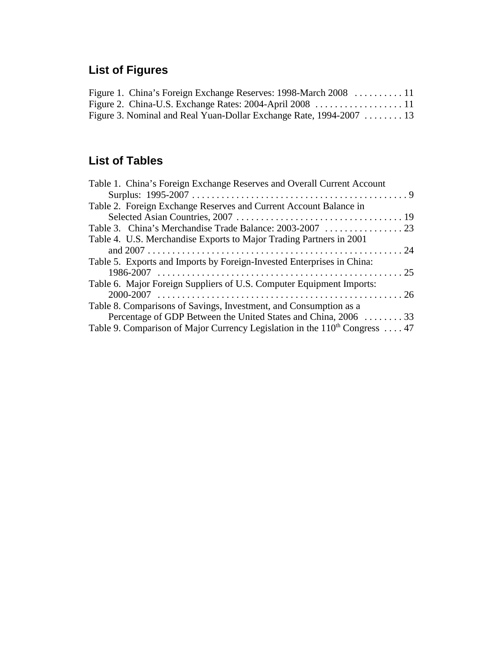# **List of Figures**

| Figure 1. China's Foreign Exchange Reserves: 1998-March 2008 11    |  |
|--------------------------------------------------------------------|--|
|                                                                    |  |
| Figure 3. Nominal and Real Yuan-Dollar Exchange Rate, 1994-2007 13 |  |

## **List of Tables**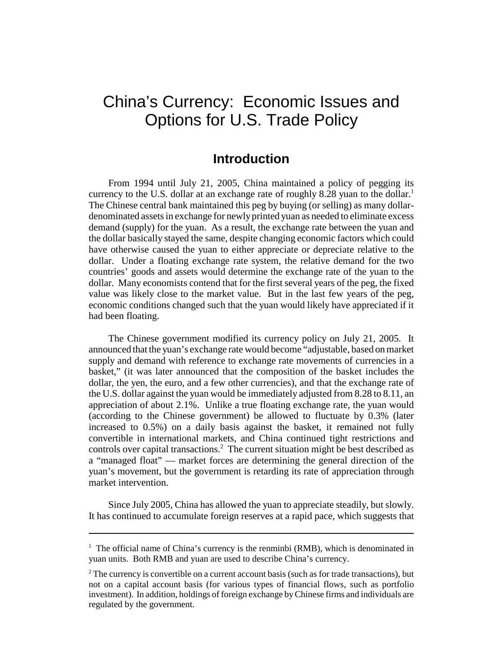# China's Currency: Economic Issues and Options for U.S. Trade Policy

## **Introduction**

From 1994 until July 21, 2005, China maintained a policy of pegging its currency to the U.S. dollar at an exchange rate of roughly 8.28 yuan to the dollar.<sup>1</sup> The Chinese central bank maintained this peg by buying (or selling) as many dollardenominated assets in exchange for newly printed yuan as needed to eliminate excess demand (supply) for the yuan. As a result, the exchange rate between the yuan and the dollar basically stayed the same, despite changing economic factors which could have otherwise caused the yuan to either appreciate or depreciate relative to the dollar. Under a floating exchange rate system, the relative demand for the two countries' goods and assets would determine the exchange rate of the yuan to the dollar. Many economists contend that for the first several years of the peg, the fixed value was likely close to the market value. But in the last few years of the peg, economic conditions changed such that the yuan would likely have appreciated if it had been floating.

The Chinese government modified its currency policy on July 21, 2005. It announced that the yuan's exchange rate would become "adjustable, based on market supply and demand with reference to exchange rate movements of currencies in a basket," (it was later announced that the composition of the basket includes the dollar, the yen, the euro, and a few other currencies), and that the exchange rate of the U.S. dollar against the yuan would be immediately adjusted from 8.28 to 8.11, an appreciation of about 2.1%. Unlike a true floating exchange rate, the yuan would (according to the Chinese government) be allowed to fluctuate by 0.3% (later increased to 0.5%) on a daily basis against the basket, it remained not fully convertible in international markets, and China continued tight restrictions and controls over capital transactions.<sup>2</sup> The current situation might be best described as a "managed float" — market forces are determining the general direction of the yuan's movement, but the government is retarding its rate of appreciation through market intervention.

Since July 2005, China has allowed the yuan to appreciate steadily, but slowly. It has continued to accumulate foreign reserves at a rapid pace, which suggests that

 $<sup>1</sup>$  The official name of China's currency is the renminbi (RMB), which is denominated in</sup> yuan units. Both RMB and yuan are used to describe China's currency.

 $2^2$  The currency is convertible on a current account basis (such as for trade transactions), but not on a capital account basis (for various types of financial flows, such as portfolio investment). In addition, holdings of foreign exchange by Chinese firms and individuals are regulated by the government.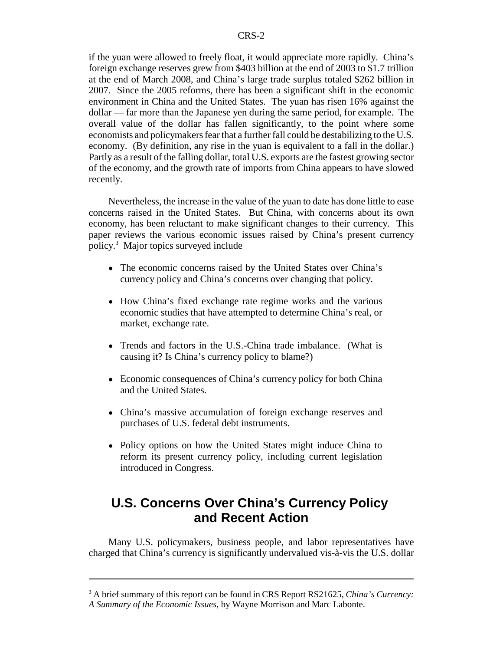if the yuan were allowed to freely float, it would appreciate more rapidly. China's foreign exchange reserves grew from \$403 billion at the end of 2003 to \$1.7 trillion at the end of March 2008, and China's large trade surplus totaled \$262 billion in 2007. Since the 2005 reforms, there has been a significant shift in the economic environment in China and the United States. The yuan has risen 16% against the dollar — far more than the Japanese yen during the same period, for example. The overall value of the dollar has fallen significantly, to the point where some economists and policymakers fear that a further fall could be destabilizing to the U.S. economy. (By definition, any rise in the yuan is equivalent to a fall in the dollar.) Partly as a result of the falling dollar, total U.S. exports are the fastest growing sector of the economy, and the growth rate of imports from China appears to have slowed recently.

Nevertheless, the increase in the value of the yuan to date has done little to ease concerns raised in the United States. But China, with concerns about its own economy, has been reluctant to make significant changes to their currency. This paper reviews the various economic issues raised by China's present currency policy.3 Major topics surveyed include

- The economic concerns raised by the United States over China's currency policy and China's concerns over changing that policy.
- How China's fixed exchange rate regime works and the various economic studies that have attempted to determine China's real, or market, exchange rate.
- Trends and factors in the U.S.-China trade imbalance. (What is causing it? Is China's currency policy to blame?)
- Economic consequences of China's currency policy for both China and the United States.
- China's massive accumulation of foreign exchange reserves and purchases of U.S. federal debt instruments.
- Policy options on how the United States might induce China to reform its present currency policy, including current legislation introduced in Congress.

## **U.S. Concerns Over China's Currency Policy and Recent Action**

Many U.S. policymakers, business people, and labor representatives have charged that China's currency is significantly undervalued vis-à-vis the U.S. dollar

<sup>3</sup> A brief summary of this report can be found in CRS Report RS21625, *China's Currency: A Summary of the Economic Issues*, by Wayne Morrison and Marc Labonte.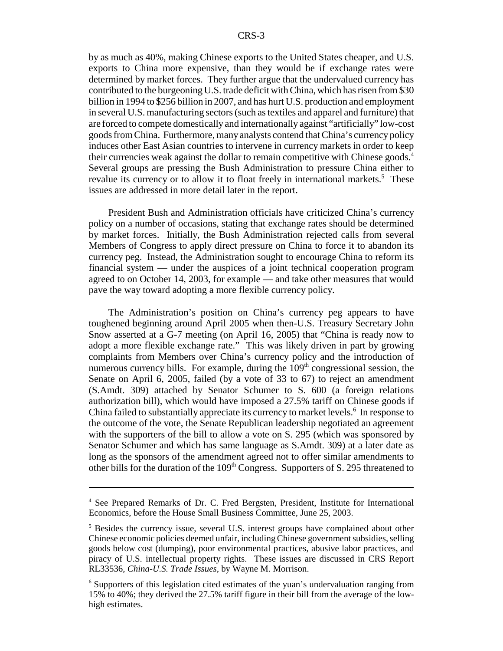by as much as 40%, making Chinese exports to the United States cheaper, and U.S. exports to China more expensive, than they would be if exchange rates were determined by market forces. They further argue that the undervalued currency has contributed to the burgeoning U.S. trade deficit with China, which has risen from \$30 billion in 1994 to \$256 billion in 2007, and has hurt U.S. production and employment in several U.S. manufacturing sectors (such as textiles and apparel and furniture) that are forced to compete domestically and internationally against "artificially" low-cost goods from China. Furthermore, many analysts contend that China's currency policy induces other East Asian countries to intervene in currency markets in order to keep their currencies weak against the dollar to remain competitive with Chinese goods.<sup>4</sup> Several groups are pressing the Bush Administration to pressure China either to revalue its currency or to allow it to float freely in international markets.<sup>5</sup> These issues are addressed in more detail later in the report.

President Bush and Administration officials have criticized China's currency policy on a number of occasions, stating that exchange rates should be determined by market forces. Initially, the Bush Administration rejected calls from several Members of Congress to apply direct pressure on China to force it to abandon its currency peg. Instead, the Administration sought to encourage China to reform its financial system — under the auspices of a joint technical cooperation program agreed to on October 14, 2003, for example — and take other measures that would pave the way toward adopting a more flexible currency policy.

The Administration's position on China's currency peg appears to have toughened beginning around April 2005 when then-U.S. Treasury Secretary John Snow asserted at a G-7 meeting (on April 16, 2005) that "China is ready now to adopt a more flexible exchange rate." This was likely driven in part by growing complaints from Members over China's currency policy and the introduction of numerous currency bills. For example, during the  $109<sup>th</sup>$  congressional session, the Senate on April 6, 2005, failed (by a vote of 33 to 67) to reject an amendment (S.Amdt. 309) attached by Senator Schumer to S. 600 (a foreign relations authorization bill), which would have imposed a 27.5% tariff on Chinese goods if China failed to substantially appreciate its currency to market levels.<sup>6</sup> In response to the outcome of the vote, the Senate Republican leadership negotiated an agreement with the supporters of the bill to allow a vote on S. 295 (which was sponsored by Senator Schumer and which has same language as S.Amdt. 309) at a later date as long as the sponsors of the amendment agreed not to offer similar amendments to other bills for the duration of the 109<sup>th</sup> Congress. Supporters of S. 295 threatened to

<sup>&</sup>lt;sup>4</sup> See Prepared Remarks of Dr. C. Fred Bergsten, President, Institute for International Economics, before the House Small Business Committee, June 25, 2003.

<sup>&</sup>lt;sup>5</sup> Besides the currency issue, several U.S. interest groups have complained about other Chinese economic policies deemed unfair, including Chinese government subsidies, selling goods below cost (dumping), poor environmental practices, abusive labor practices, and piracy of U.S. intellectual property rights. These issues are discussed in CRS Report RL33536, *China-U.S. Trade Issues*, by Wayne M. Morrison.

<sup>&</sup>lt;sup>6</sup> Supporters of this legislation cited estimates of the yuan's undervaluation ranging from 15% to 40%; they derived the 27.5% tariff figure in their bill from the average of the lowhigh estimates.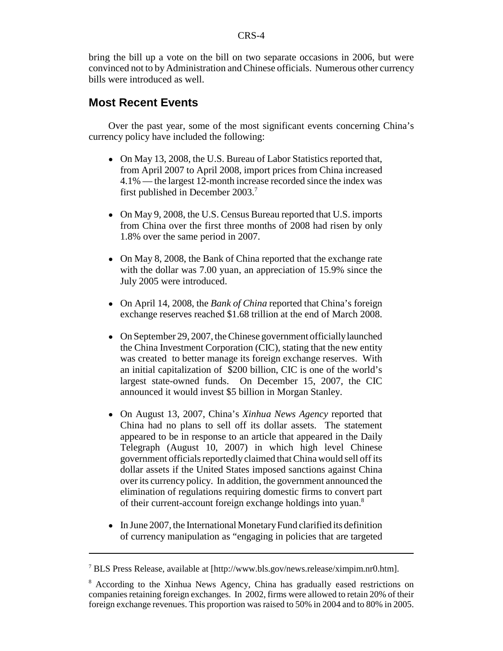bring the bill up a vote on the bill on two separate occasions in 2006, but were convinced not to by Administration and Chinese officials. Numerous other currency bills were introduced as well.

#### **Most Recent Events**

Over the past year, some of the most significant events concerning China's currency policy have included the following:

- On May 13, 2008, the U.S. Bureau of Labor Statistics reported that, from April 2007 to April 2008, import prices from China increased 4.1% — the largest 12-month increase recorded since the index was first published in December 2003.7
- On May 9, 2008, the U.S. Census Bureau reported that U.S. imports from China over the first three months of 2008 had risen by only 1.8% over the same period in 2007.
- On May 8, 2008, the Bank of China reported that the exchange rate with the dollar was 7.00 yuan, an appreciation of 15.9% since the July 2005 were introduced.
- On April 14, 2008, the *Bank of China* reported that China's foreign exchange reserves reached \$1.68 trillion at the end of March 2008.
- On September 29, 2007, the Chinese government officially launched the China Investment Corporation (CIC), stating that the new entity was created to better manage its foreign exchange reserves. With an initial capitalization of \$200 billion, CIC is one of the world's largest state-owned funds. On December 15, 2007, the CIC announced it would invest \$5 billion in Morgan Stanley.
- ! On August 13, 2007, China's *Xinhua News Agency* reported that China had no plans to sell off its dollar assets. The statement appeared to be in response to an article that appeared in the Daily Telegraph (August 10, 2007) in which high level Chinese government officials reportedly claimed that China would sell off its dollar assets if the United States imposed sanctions against China over its currency policy. In addition, the government announced the elimination of regulations requiring domestic firms to convert part of their current-account foreign exchange holdings into yuan.8
- In June 2007, the International Monetary Fund clarified its definition of currency manipulation as "engaging in policies that are targeted

<sup>7</sup> BLS Press Release, available at [http://www.bls.gov/news.release/ximpim.nr0.htm].

<sup>&</sup>lt;sup>8</sup> According to the Xinhua News Agency, China has gradually eased restrictions on companies retaining foreign exchanges. In 2002, firms were allowed to retain 20% of their foreign exchange revenues. This proportion was raised to 50% in 2004 and to 80% in 2005.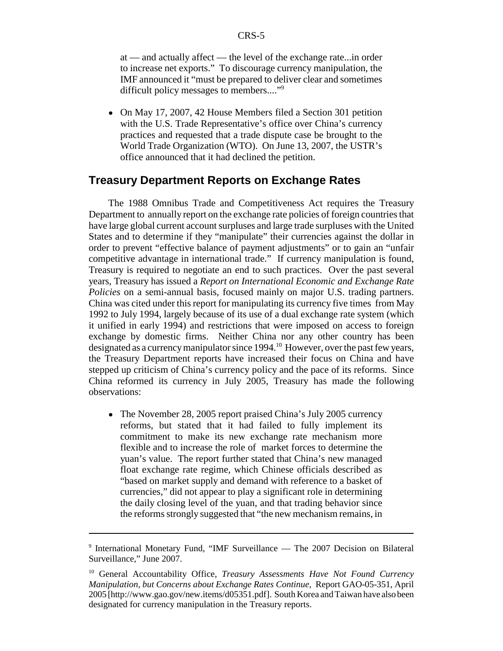at — and actually affect — the level of the exchange rate...in order to increase net exports." To discourage currency manipulation, the IMF announced it "must be prepared to deliver clear and sometimes difficult policy messages to members...."<sup>9</sup>

• On May 17, 2007, 42 House Members filed a Section 301 petition with the U.S. Trade Representative's office over China's currency practices and requested that a trade dispute case be brought to the World Trade Organization (WTO). On June 13, 2007, the USTR's office announced that it had declined the petition.

#### **Treasury Department Reports on Exchange Rates**

The 1988 Omnibus Trade and Competitiveness Act requires the Treasury Department to annually report on the exchange rate policies of foreign countries that have large global current account surpluses and large trade surpluses with the United States and to determine if they "manipulate" their currencies against the dollar in order to prevent "effective balance of payment adjustments" or to gain an "unfair competitive advantage in international trade." If currency manipulation is found, Treasury is required to negotiate an end to such practices. Over the past several years, Treasury has issued a *Report on International Economic and Exchange Rate Policies* on a semi-annual basis, focused mainly on major U.S. trading partners. China was cited under this report for manipulating its currency five times from May 1992 to July 1994, largely because of its use of a dual exchange rate system (which it unified in early 1994) and restrictions that were imposed on access to foreign exchange by domestic firms. Neither China nor any other country has been designated as a currency manipulator since 1994.10 However, over the past few years, the Treasury Department reports have increased their focus on China and have stepped up criticism of China's currency policy and the pace of its reforms. Since China reformed its currency in July 2005, Treasury has made the following observations:

• The November 28, 2005 report praised China's July 2005 currency reforms, but stated that it had failed to fully implement its commitment to make its new exchange rate mechanism more flexible and to increase the role of market forces to determine the yuan's value. The report further stated that China's new managed float exchange rate regime, which Chinese officials described as "based on market supply and demand with reference to a basket of currencies," did not appear to play a significant role in determining the daily closing level of the yuan, and that trading behavior since the reforms strongly suggested that "the new mechanism remains, in

<sup>&</sup>lt;sup>9</sup> International Monetary Fund, "IMF Surveillance — The 2007 Decision on Bilateral Surveillance," June 2007.

<sup>10</sup> General Accountability Office, *Treasury Assessments Have Not Found Currency Manipulation, but Concerns about Exchange Rates Continue*, Report GAO-05-351, April 2005 [http://www.gao.gov/new.items/d05351.pdf]. South Korea and Taiwan have also been designated for currency manipulation in the Treasury reports.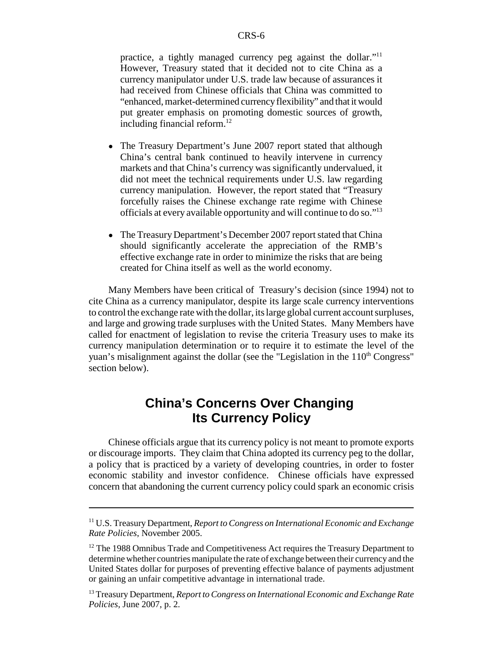practice, a tightly managed currency peg against the dollar."<sup>11</sup> However, Treasury stated that it decided not to cite China as a currency manipulator under U.S. trade law because of assurances it had received from Chinese officials that China was committed to "enhanced, market-determined currency flexibility" and that it would put greater emphasis on promoting domestic sources of growth, including financial reform.<sup>12</sup>

- The Treasury Department's June 2007 report stated that although China's central bank continued to heavily intervene in currency markets and that China's currency was significantly undervalued, it did not meet the technical requirements under U.S. law regarding currency manipulation. However, the report stated that "Treasury forcefully raises the Chinese exchange rate regime with Chinese officials at every available opportunity and will continue to do so."13
- The Treasury Department's December 2007 report stated that China should significantly accelerate the appreciation of the RMB's effective exchange rate in order to minimize the risks that are being created for China itself as well as the world economy.

Many Members have been critical of Treasury's decision (since 1994) not to cite China as a currency manipulator, despite its large scale currency interventions to control the exchange rate with the dollar, its large global current account surpluses, and large and growing trade surpluses with the United States. Many Members have called for enactment of legislation to revise the criteria Treasury uses to make its currency manipulation determination or to require it to estimate the level of the yuan's misalignment against the dollar (see the "Legislation in the 110<sup>th</sup> Congress" section below).

## **China's Concerns Over Changing Its Currency Policy**

Chinese officials argue that its currency policy is not meant to promote exports or discourage imports. They claim that China adopted its currency peg to the dollar, a policy that is practiced by a variety of developing countries, in order to foster economic stability and investor confidence. Chinese officials have expressed concern that abandoning the current currency policy could spark an economic crisis

<sup>11</sup> U.S. Treasury Department, *Report to Congress on International Economic and Exchange Rate Policies*, November 2005.

 $12$  The 1988 Omnibus Trade and Competitiveness Act requires the Treasury Department to determine whether countries manipulate the rate of exchange between their currency and the United States dollar for purposes of preventing effective balance of payments adjustment or gaining an unfair competitive advantage in international trade.

<sup>13</sup> Treasury Department, *Report to Congress on International Economic and Exchange Rate Policies*, June 2007, p. 2.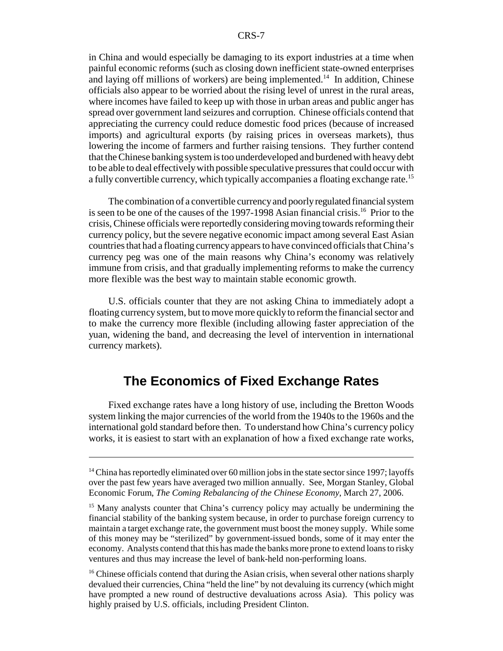in China and would especially be damaging to its export industries at a time when painful economic reforms (such as closing down inefficient state-owned enterprises and laying off millions of workers) are being implemented.<sup>14</sup> In addition, Chinese officials also appear to be worried about the rising level of unrest in the rural areas, where incomes have failed to keep up with those in urban areas and public anger has spread over government land seizures and corruption. Chinese officials contend that appreciating the currency could reduce domestic food prices (because of increased imports) and agricultural exports (by raising prices in overseas markets), thus lowering the income of farmers and further raising tensions. They further contend that the Chinese banking system is too underdeveloped and burdened with heavy debt to be able to deal effectively with possible speculative pressures that could occur with a fully convertible currency, which typically accompanies a floating exchange rate.<sup>15</sup>

The combination of a convertible currency and poorly regulated financial system is seen to be one of the causes of the 1997-1998 Asian financial crisis.<sup>16</sup> Prior to the crisis, Chinese officials were reportedly considering moving towards reforming their currency policy, but the severe negative economic impact among several East Asian countries that had a floating currency appears to have convinced officials that China's currency peg was one of the main reasons why China's economy was relatively immune from crisis, and that gradually implementing reforms to make the currency more flexible was the best way to maintain stable economic growth.

U.S. officials counter that they are not asking China to immediately adopt a floating currency system, but to move more quickly to reform the financial sector and to make the currency more flexible (including allowing faster appreciation of the yuan, widening the band, and decreasing the level of intervention in international currency markets).

## **The Economics of Fixed Exchange Rates**

Fixed exchange rates have a long history of use, including the Bretton Woods system linking the major currencies of the world from the 1940s to the 1960s and the international gold standard before then. To understand how China's currency policy works, it is easiest to start with an explanation of how a fixed exchange rate works,

<sup>&</sup>lt;sup>14</sup> China has reportedly eliminated over 60 million jobs in the state sector since 1997; layoffs over the past few years have averaged two million annually. See, Morgan Stanley, Global Economic Forum, *The Coming Rebalancing of the Chinese Economy*, March 27, 2006.

<sup>&</sup>lt;sup>15</sup> Many analysts counter that China's currency policy may actually be undermining the financial stability of the banking system because, in order to purchase foreign currency to maintain a target exchange rate, the government must boost the money supply. While some of this money may be "sterilized" by government-issued bonds, some of it may enter the economy. Analysts contend that this has made the banks more prone to extend loans to risky ventures and thus may increase the level of bank-held non-performing loans.

<sup>&</sup>lt;sup>16</sup> Chinese officials contend that during the Asian crisis, when several other nations sharply devalued their currencies, China "held the line" by not devaluing its currency (which might have prompted a new round of destructive devaluations across Asia). This policy was highly praised by U.S. officials, including President Clinton.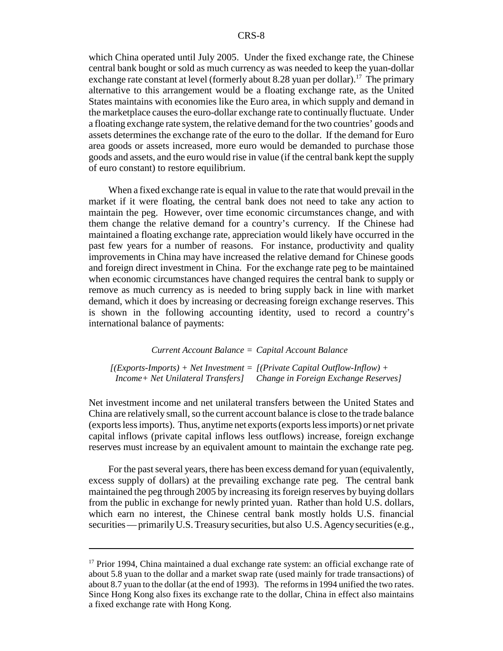which China operated until July 2005. Under the fixed exchange rate, the Chinese central bank bought or sold as much currency as was needed to keep the yuan-dollar exchange rate constant at level (formerly about 8.28 yuan per dollar).<sup>17</sup> The primary alternative to this arrangement would be a floating exchange rate, as the United States maintains with economies like the Euro area, in which supply and demand in the marketplace causes the euro-dollar exchange rate to continually fluctuate. Under a floating exchange rate system, the relative demand for the two countries' goods and assets determines the exchange rate of the euro to the dollar. If the demand for Euro area goods or assets increased, more euro would be demanded to purchase those goods and assets, and the euro would rise in value (if the central bank kept the supply of euro constant) to restore equilibrium.

When a fixed exchange rate is equal in value to the rate that would prevail in the market if it were floating, the central bank does not need to take any action to maintain the peg. However, over time economic circumstances change, and with them change the relative demand for a country's currency. If the Chinese had maintained a floating exchange rate, appreciation would likely have occurred in the past few years for a number of reasons. For instance, productivity and quality improvements in China may have increased the relative demand for Chinese goods and foreign direct investment in China. For the exchange rate peg to be maintained when economic circumstances have changed requires the central bank to supply or remove as much currency as is needed to bring supply back in line with market demand, which it does by increasing or decreasing foreign exchange reserves. This is shown in the following accounting identity, used to record a country's international balance of payments:

*Current Account Balance = Capital Account Balance*

*[(Exports-Imports) + Net Investment = [(Private Capital Outflow-Inflow) + Income+ Net Unilateral Transfers] Change in Foreign Exchange Reserves]*

Net investment income and net unilateral transfers between the United States and China are relatively small, so the current account balance is close to the trade balance (exports less imports). Thus, anytime net exports (exports less imports) or net private capital inflows (private capital inflows less outflows) increase, foreign exchange reserves must increase by an equivalent amount to maintain the exchange rate peg.

For the past several years, there has been excess demand for yuan (equivalently, excess supply of dollars) at the prevailing exchange rate peg. The central bank maintained the peg through 2005 by increasing its foreign reserves by buying dollars from the public in exchange for newly printed yuan. Rather than hold U.S. dollars, which earn no interest, the Chinese central bank mostly holds U.S. financial securities — primarily U.S. Treasury securities, but also U.S. Agency securities (e.g.,

 $17$  Prior 1994, China maintained a dual exchange rate system: an official exchange rate of about 5.8 yuan to the dollar and a market swap rate (used mainly for trade transactions) of about 8.7 yuan to the dollar (at the end of 1993). The reforms in 1994 unified the two rates. Since Hong Kong also fixes its exchange rate to the dollar, China in effect also maintains a fixed exchange rate with Hong Kong.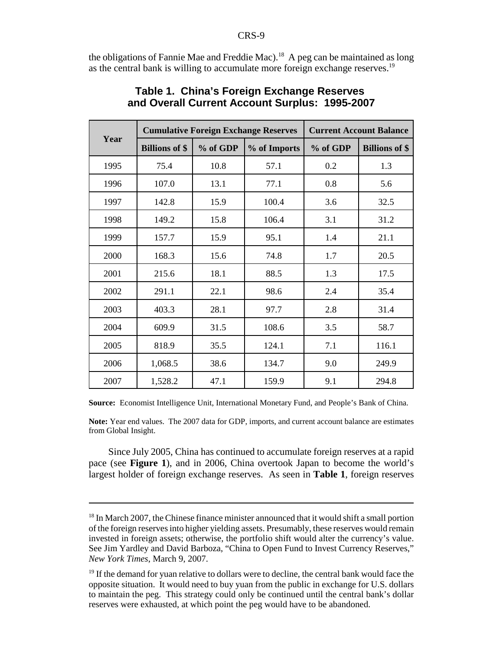the obligations of Fannie Mae and Freddie Mac).<sup>18</sup> A peg can be maintained as long as the central bank is willing to accumulate more foreign exchange reserves.<sup>19</sup>

|      |                       | <b>Cumulative Foreign Exchange Reserves</b> | <b>Current Account Balance</b> |          |                       |
|------|-----------------------|---------------------------------------------|--------------------------------|----------|-----------------------|
| Year | <b>Billions of \$</b> | % of GDP                                    | % of Imports                   | % of GDP | <b>Billions of \$</b> |
| 1995 | 75.4                  | 10.8                                        | 57.1                           | 0.2      | 1.3                   |
| 1996 | 107.0                 | 13.1                                        | 77.1                           | 0.8      | 5.6                   |
| 1997 | 142.8                 | 15.9                                        | 100.4                          | 3.6      | 32.5                  |
| 1998 | 149.2                 | 15.8                                        | 106.4                          | 3.1      | 31.2                  |
| 1999 | 157.7                 | 15.9                                        | 95.1                           | 1.4      | 21.1                  |
| 2000 | 168.3                 | 15.6                                        | 74.8                           | 1.7      | 20.5                  |
| 2001 | 215.6                 | 18.1                                        | 88.5                           | 1.3      | 17.5                  |
| 2002 | 291.1                 | 22.1                                        | 98.6                           | 2.4      | 35.4                  |
| 2003 | 403.3                 | 28.1                                        | 97.7                           | 2.8      | 31.4                  |
| 2004 | 609.9                 | 31.5                                        | 108.6                          | 3.5      | 58.7                  |
| 2005 | 818.9                 | 35.5                                        | 124.1                          | 7.1      | 116.1                 |
| 2006 | 1,068.5               | 38.6                                        | 134.7                          | 9.0      | 249.9                 |
| 2007 | 1,528.2               | 47.1                                        | 159.9                          | 9.1      | 294.8                 |

#### **Table 1. China's Foreign Exchange Reserves and Overall Current Account Surplus: 1995-2007**

**Source:** Economist Intelligence Unit, International Monetary Fund, and People's Bank of China.

**Note:** Year end values. The 2007 data for GDP, imports, and current account balance are estimates from Global Insight.

Since July 2005, China has continued to accumulate foreign reserves at a rapid pace (see **Figure 1**), and in 2006, China overtook Japan to become the world's largest holder of foreign exchange reserves. As seen in **Table 1**, foreign reserves

 $18$  In March 2007, the Chinese finance minister announced that it would shift a small portion of the foreign reserves into higher yielding assets. Presumably, these reserves would remain invested in foreign assets; otherwise, the portfolio shift would alter the currency's value. See Jim Yardley and David Barboza, "China to Open Fund to Invest Currency Reserves," *New York Times*, March 9, 2007.

 $19$  If the demand for yuan relative to dollars were to decline, the central bank would face the opposite situation. It would need to buy yuan from the public in exchange for U.S. dollars to maintain the peg. This strategy could only be continued until the central bank's dollar reserves were exhausted, at which point the peg would have to be abandoned.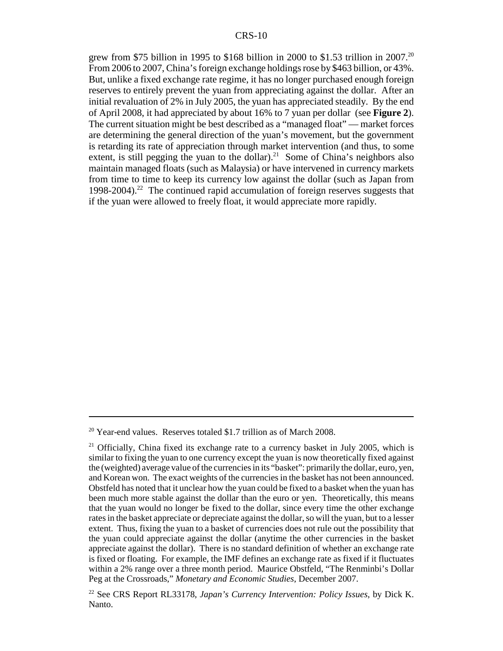grew from \$75 billion in 1995 to \$168 billion in 2000 to \$1.53 trillion in 2007.<sup>20</sup> From 2006 to 2007, China's foreign exchange holdings rose by \$463 billion, or 43%. But, unlike a fixed exchange rate regime, it has no longer purchased enough foreign reserves to entirely prevent the yuan from appreciating against the dollar. After an initial revaluation of 2% in July 2005, the yuan has appreciated steadily. By the end of April 2008, it had appreciated by about 16% to 7 yuan per dollar (see **Figure 2**). The current situation might be best described as a "managed float" — market forces are determining the general direction of the yuan's movement, but the government is retarding its rate of appreciation through market intervention (and thus, to some extent, is still pegging the yuan to the dollar).<sup>21</sup> Some of China's neighbors also maintain managed floats (such as Malaysia) or have intervened in currency markets from time to time to keep its currency low against the dollar (such as Japan from 1998-2004).<sup>22</sup> The continued rapid accumulation of foreign reserves suggests that if the yuan were allowed to freely float, it would appreciate more rapidly.

 $20$  Year-end values. Reserves totaled \$1.7 trillion as of March 2008.

<sup>&</sup>lt;sup>21</sup> Officially, China fixed its exchange rate to a currency basket in July 2005, which is similar to fixing the yuan to one currency except the yuan is now theoretically fixed against the (weighted) average value of the currencies in its "basket": primarily the dollar, euro, yen, and Korean won. The exact weights of the currencies in the basket has not been announced. Obstfeld has noted that it unclear how the yuan could be fixed to a basket when the yuan has been much more stable against the dollar than the euro or yen. Theoretically, this means that the yuan would no longer be fixed to the dollar, since every time the other exchange rates in the basket appreciate or depreciate against the dollar, so will the yuan, but to a lesser extent. Thus, fixing the yuan to a basket of currencies does not rule out the possibility that the yuan could appreciate against the dollar (anytime the other currencies in the basket appreciate against the dollar). There is no standard definition of whether an exchange rate is fixed or floating. For example, the IMF defines an exchange rate as fixed if it fluctuates within a 2% range over a three month period. Maurice Obstfeld, "The Renminbi's Dollar Peg at the Crossroads," *Monetary and Economic Studies*, December 2007.

<sup>22</sup> See CRS Report RL33178, *Japan's Currency Intervention: Policy Issues*, by Dick K. Nanto.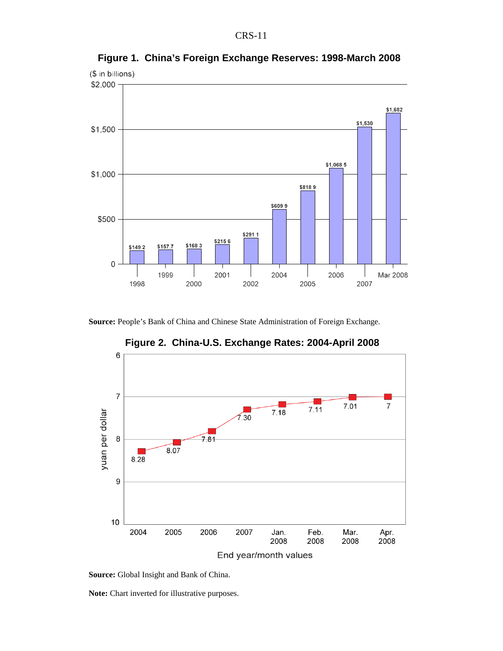CRS-11





**Source:** People's Bank of China and Chinese State Administration of Foreign Exchange.



**Figure 2. China-U.S. Exchange Rates: 2004-April 2008**

**Source:** Global Insight and Bank of China.

**Note:** Chart inverted for illustrative purposes.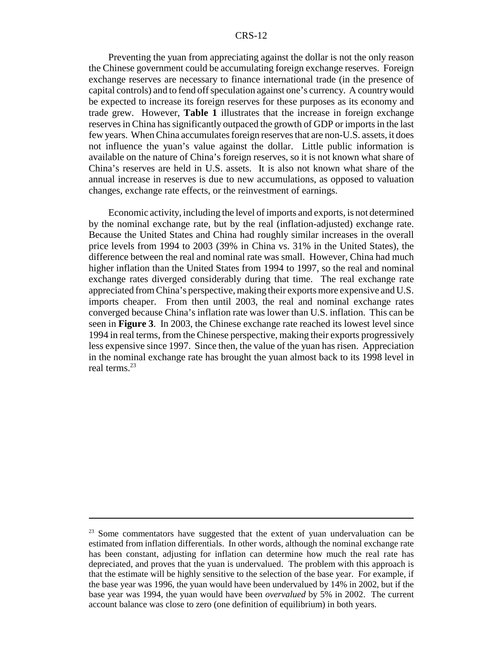Preventing the yuan from appreciating against the dollar is not the only reason the Chinese government could be accumulating foreign exchange reserves. Foreign exchange reserves are necessary to finance international trade (in the presence of capital controls) and to fend off speculation against one's currency. A country would be expected to increase its foreign reserves for these purposes as its economy and trade grew. However, **Table 1** illustrates that the increase in foreign exchange reserves in China has significantly outpaced the growth of GDP or imports in the last few years. When China accumulates foreign reserves that are non-U.S. assets, it does not influence the yuan's value against the dollar. Little public information is available on the nature of China's foreign reserves, so it is not known what share of China's reserves are held in U.S. assets. It is also not known what share of the annual increase in reserves is due to new accumulations, as opposed to valuation changes, exchange rate effects, or the reinvestment of earnings.

Economic activity, including the level of imports and exports, is not determined by the nominal exchange rate, but by the real (inflation-adjusted) exchange rate. Because the United States and China had roughly similar increases in the overall price levels from 1994 to 2003 (39% in China vs. 31% in the United States), the difference between the real and nominal rate was small. However, China had much higher inflation than the United States from 1994 to 1997, so the real and nominal exchange rates diverged considerably during that time. The real exchange rate appreciated from China's perspective, making their exports more expensive and U.S. imports cheaper. From then until 2003, the real and nominal exchange rates converged because China's inflation rate was lower than U.S. inflation. This can be seen in **Figure 3**. In 2003, the Chinese exchange rate reached its lowest level since 1994 in real terms, from the Chinese perspective, making their exports progressively less expensive since 1997. Since then, the value of the yuan has risen. Appreciation in the nominal exchange rate has brought the yuan almost back to its 1998 level in real terms.23

 $23$  Some commentators have suggested that the extent of yuan undervaluation can be estimated from inflation differentials. In other words, although the nominal exchange rate has been constant, adjusting for inflation can determine how much the real rate has depreciated, and proves that the yuan is undervalued. The problem with this approach is that the estimate will be highly sensitive to the selection of the base year. For example, if the base year was 1996, the yuan would have been undervalued by 14% in 2002, but if the base year was 1994, the yuan would have been *overvalued* by 5% in 2002. The current account balance was close to zero (one definition of equilibrium) in both years.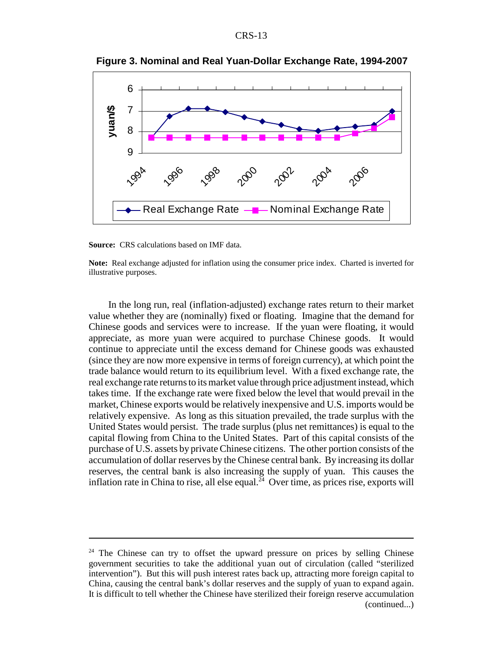

**Figure 3. Nominal and Real Yuan-Dollar Exchange Rate, 1994-2007**

**Source:** CRS calculations based on IMF data.

**Note:** Real exchange adjusted for inflation using the consumer price index. Charted is inverted for illustrative purposes.

In the long run, real (inflation-adjusted) exchange rates return to their market value whether they are (nominally) fixed or floating. Imagine that the demand for Chinese goods and services were to increase. If the yuan were floating, it would appreciate, as more yuan were acquired to purchase Chinese goods. It would continue to appreciate until the excess demand for Chinese goods was exhausted (since they are now more expensive in terms of foreign currency), at which point the trade balance would return to its equilibrium level. With a fixed exchange rate, the real exchange rate returns to its market value through price adjustment instead, which takes time. If the exchange rate were fixed below the level that would prevail in the market, Chinese exports would be relatively inexpensive and U.S. imports would be relatively expensive. As long as this situation prevailed, the trade surplus with the United States would persist. The trade surplus (plus net remittances) is equal to the capital flowing from China to the United States. Part of this capital consists of the purchase of U.S. assets by private Chinese citizens. The other portion consists of the accumulation of dollar reserves by the Chinese central bank. By increasing its dollar reserves, the central bank is also increasing the supply of yuan. This causes the inflation rate in China to rise, all else equal.<sup>24</sup> Over time, as prices rise, exports will

 $24$  The Chinese can try to offset the upward pressure on prices by selling Chinese government securities to take the additional yuan out of circulation (called "sterilized intervention"). But this will push interest rates back up, attracting more foreign capital to China, causing the central bank's dollar reserves and the supply of yuan to expand again. It is difficult to tell whether the Chinese have sterilized their foreign reserve accumulation (continued...)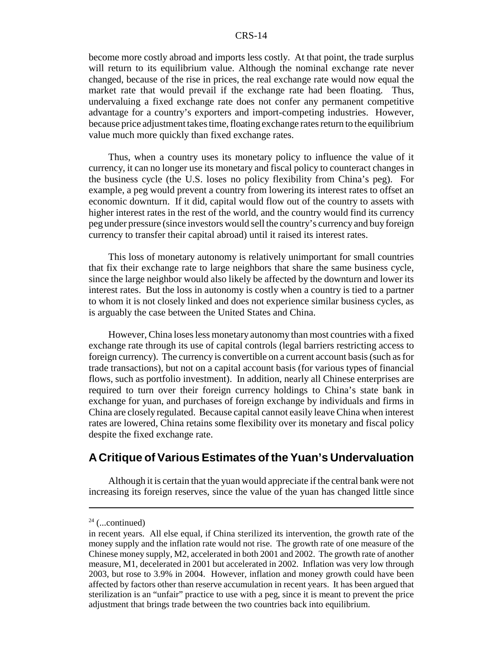become more costly abroad and imports less costly. At that point, the trade surplus will return to its equilibrium value. Although the nominal exchange rate never changed, because of the rise in prices, the real exchange rate would now equal the market rate that would prevail if the exchange rate had been floating. Thus, undervaluing a fixed exchange rate does not confer any permanent competitive advantage for a country's exporters and import-competing industries. However, because price adjustment takes time, floating exchange rates return to the equilibrium value much more quickly than fixed exchange rates.

Thus, when a country uses its monetary policy to influence the value of it currency, it can no longer use its monetary and fiscal policy to counteract changes in the business cycle (the U.S. loses no policy flexibility from China's peg). For example, a peg would prevent a country from lowering its interest rates to offset an economic downturn. If it did, capital would flow out of the country to assets with higher interest rates in the rest of the world, and the country would find its currency peg under pressure (since investors would sell the country's currency and buy foreign currency to transfer their capital abroad) until it raised its interest rates.

This loss of monetary autonomy is relatively unimportant for small countries that fix their exchange rate to large neighbors that share the same business cycle, since the large neighbor would also likely be affected by the downturn and lower its interest rates. But the loss in autonomy is costly when a country is tied to a partner to whom it is not closely linked and does not experience similar business cycles, as is arguably the case between the United States and China.

However, China loses less monetary autonomy than most countries with a fixed exchange rate through its use of capital controls (legal barriers restricting access to foreign currency). The currency is convertible on a current account basis (such as for trade transactions), but not on a capital account basis (for various types of financial flows, such as portfolio investment). In addition, nearly all Chinese enterprises are required to turn over their foreign currency holdings to China's state bank in exchange for yuan, and purchases of foreign exchange by individuals and firms in China are closely regulated. Because capital cannot easily leave China when interest rates are lowered, China retains some flexibility over its monetary and fiscal policy despite the fixed exchange rate.

#### **A Critique of Various Estimates of the Yuan's Undervaluation**

Although it is certain that the yuan would appreciate if the central bank were not increasing its foreign reserves, since the value of the yuan has changed little since

 $24$  (...continued)

in recent years. All else equal, if China sterilized its intervention, the growth rate of the money supply and the inflation rate would not rise. The growth rate of one measure of the Chinese money supply, M2, accelerated in both 2001 and 2002. The growth rate of another measure, M1, decelerated in 2001 but accelerated in 2002. Inflation was very low through 2003, but rose to 3.9% in 2004. However, inflation and money growth could have been affected by factors other than reserve accumulation in recent years. It has been argued that sterilization is an "unfair" practice to use with a peg, since it is meant to prevent the price adjustment that brings trade between the two countries back into equilibrium.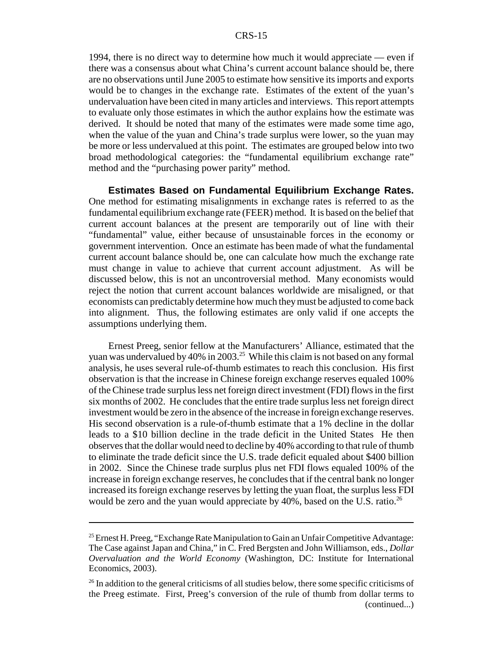1994, there is no direct way to determine how much it would appreciate — even if there was a consensus about what China's current account balance should be, there are no observations until June 2005 to estimate how sensitive its imports and exports would be to changes in the exchange rate. Estimates of the extent of the yuan's undervaluation have been cited in many articles and interviews. This report attempts to evaluate only those estimates in which the author explains how the estimate was derived. It should be noted that many of the estimates were made some time ago, when the value of the yuan and China's trade surplus were lower, so the yuan may be more or less undervalued at this point. The estimates are grouped below into two broad methodological categories: the "fundamental equilibrium exchange rate" method and the "purchasing power parity" method.

**Estimates Based on Fundamental Equilibrium Exchange Rates.** One method for estimating misalignments in exchange rates is referred to as the fundamental equilibrium exchange rate (FEER) method. It is based on the belief that current account balances at the present are temporarily out of line with their "fundamental" value, either because of unsustainable forces in the economy or government intervention. Once an estimate has been made of what the fundamental current account balance should be, one can calculate how much the exchange rate must change in value to achieve that current account adjustment. As will be discussed below, this is not an uncontroversial method. Many economists would reject the notion that current account balances worldwide are misaligned, or that economists can predictably determine how much they must be adjusted to come back into alignment. Thus, the following estimates are only valid if one accepts the assumptions underlying them.

Ernest Preeg, senior fellow at the Manufacturers' Alliance, estimated that the yuan was undervalued by 40% in 2003.<sup>25</sup> While this claim is not based on any formal analysis, he uses several rule-of-thumb estimates to reach this conclusion. His first observation is that the increase in Chinese foreign exchange reserves equaled 100% of the Chinese trade surplus less net foreign direct investment (FDI) flows in the first six months of 2002. He concludes that the entire trade surplus less net foreign direct investment would be zero in the absence of the increase in foreign exchange reserves. His second observation is a rule-of-thumb estimate that a 1% decline in the dollar leads to a \$10 billion decline in the trade deficit in the United States He then observes that the dollar would need to decline by 40% according to that rule of thumb to eliminate the trade deficit since the U.S. trade deficit equaled about \$400 billion in 2002. Since the Chinese trade surplus plus net FDI flows equaled 100% of the increase in foreign exchange reserves, he concludes that if the central bank no longer increased its foreign exchange reserves by letting the yuan float, the surplus less FDI would be zero and the yuan would appreciate by  $40\%$ , based on the U.S. ratio.<sup>26</sup>

<sup>&</sup>lt;sup>25</sup> Ernest H. Preeg, "Exchange Rate Manipulation to Gain an Unfair Competitive Advantage: The Case against Japan and China," in C. Fred Bergsten and John Williamson, eds., *Dollar Overvaluation and the World Economy* (Washington, DC: Institute for International Economics, 2003).

<sup>&</sup>lt;sup>26</sup> In addition to the general criticisms of all studies below, there some specific criticisms of the Preeg estimate. First, Preeg's conversion of the rule of thumb from dollar terms to (continued...)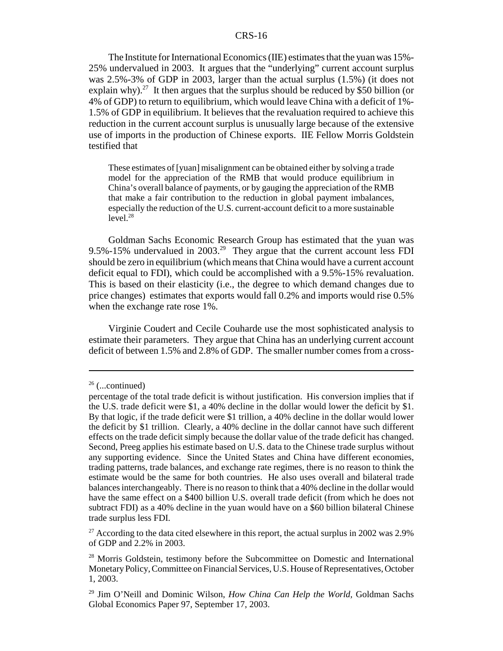The Institute for International Economics (IIE) estimates that the yuan was 15%- 25% undervalued in 2003. It argues that the "underlying" current account surplus was 2.5%-3% of GDP in 2003, larger than the actual surplus (1.5%) (it does not explain why).<sup>27</sup> It then argues that the surplus should be reduced by \$50 billion (or 4% of GDP) to return to equilibrium, which would leave China with a deficit of 1%- 1.5% of GDP in equilibrium. It believes that the revaluation required to achieve this reduction in the current account surplus is unusually large because of the extensive use of imports in the production of Chinese exports. IIE Fellow Morris Goldstein testified that

These estimates of [yuan] misalignment can be obtained either by solving a trade model for the appreciation of the RMB that would produce equilibrium in China's overall balance of payments, or by gauging the appreciation of the RMB that make a fair contribution to the reduction in global payment imbalances, especially the reduction of the U.S. current-account deficit to a more sustainable  $level.<sup>28</sup>$ 

Goldman Sachs Economic Research Group has estimated that the yuan was 9.5%-15% undervalued in 2003.<sup>29</sup> They argue that the current account less FDI should be zero in equilibrium (which means that China would have a current account deficit equal to FDI), which could be accomplished with a 9.5%-15% revaluation. This is based on their elasticity (i.e., the degree to which demand changes due to price changes) estimates that exports would fall 0.2% and imports would rise 0.5% when the exchange rate rose 1%.

Virginie Coudert and Cecile Couharde use the most sophisticated analysis to estimate their parameters. They argue that China has an underlying current account deficit of between 1.5% and 2.8% of GDP. The smaller number comes from a cross-

 $26$  (...continued)

percentage of the total trade deficit is without justification. His conversion implies that if the U.S. trade deficit were \$1, a 40% decline in the dollar would lower the deficit by \$1. By that logic, if the trade deficit were \$1 trillion, a 40% decline in the dollar would lower the deficit by \$1 trillion. Clearly, a 40% decline in the dollar cannot have such different effects on the trade deficit simply because the dollar value of the trade deficit has changed. Second, Preeg applies his estimate based on U.S. data to the Chinese trade surplus without any supporting evidence. Since the United States and China have different economies, trading patterns, trade balances, and exchange rate regimes, there is no reason to think the estimate would be the same for both countries. He also uses overall and bilateral trade balances interchangeably. There is no reason to think that a 40% decline in the dollar would have the same effect on a \$400 billion U.S. overall trade deficit (from which he does not subtract FDI) as a 40% decline in the yuan would have on a \$60 billion bilateral Chinese trade surplus less FDI.

 $27$  According to the data cited elsewhere in this report, the actual surplus in 2002 was 2.9% of GDP and 2.2% in 2003.

<sup>&</sup>lt;sup>28</sup> Morris Goldstein, testimony before the Subcommittee on Domestic and International Monetary Policy, Committee on Financial Services, U.S. House of Representatives, October 1, 2003.

<sup>29</sup> Jim O'Neill and Dominic Wilson, *How China Can Help the World,* Goldman Sachs Global Economics Paper 97, September 17, 2003.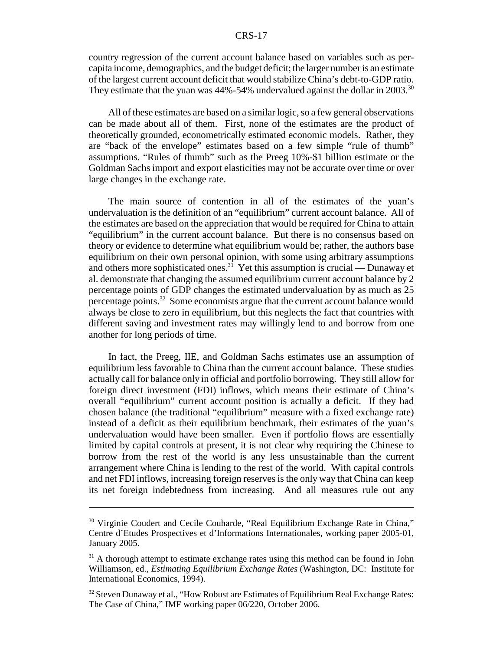country regression of the current account balance based on variables such as percapita income, demographics, and the budget deficit; the larger number is an estimate of the largest current account deficit that would stabilize China's debt-to-GDP ratio. They estimate that the yuan was  $44\%$ -54% undervalued against the dollar in 2003.<sup>30</sup>

All of these estimates are based on a similar logic, so a few general observations can be made about all of them. First, none of the estimates are the product of theoretically grounded, econometrically estimated economic models. Rather, they are "back of the envelope" estimates based on a few simple "rule of thumb" assumptions. "Rules of thumb" such as the Preeg 10%-\$1 billion estimate or the Goldman Sachs import and export elasticities may not be accurate over time or over large changes in the exchange rate.

The main source of contention in all of the estimates of the yuan's undervaluation is the definition of an "equilibrium" current account balance. All of the estimates are based on the appreciation that would be required for China to attain "equilibrium" in the current account balance. But there is no consensus based on theory or evidence to determine what equilibrium would be; rather, the authors base equilibrium on their own personal opinion, with some using arbitrary assumptions and others more sophisticated ones.<sup>31</sup> Yet this assumption is crucial — Dunaway et al. demonstrate that changing the assumed equilibrium current account balance by 2 percentage points of GDP changes the estimated undervaluation by as much as 25 percentage points.32 Some economists argue that the current account balance would always be close to zero in equilibrium, but this neglects the fact that countries with different saving and investment rates may willingly lend to and borrow from one another for long periods of time.

In fact, the Preeg, IIE, and Goldman Sachs estimates use an assumption of equilibrium less favorable to China than the current account balance. These studies actually call for balance only in official and portfolio borrowing. They still allow for foreign direct investment (FDI) inflows, which means their estimate of China's overall "equilibrium" current account position is actually a deficit. If they had chosen balance (the traditional "equilibrium" measure with a fixed exchange rate) instead of a deficit as their equilibrium benchmark, their estimates of the yuan's undervaluation would have been smaller. Even if portfolio flows are essentially limited by capital controls at present, it is not clear why requiring the Chinese to borrow from the rest of the world is any less unsustainable than the current arrangement where China is lending to the rest of the world. With capital controls and net FDI inflows, increasing foreign reserves is the only way that China can keep its net foreign indebtedness from increasing. And all measures rule out any

<sup>30</sup> Virginie Coudert and Cecile Couharde, "Real Equilibrium Exchange Rate in China," Centre d'Etudes Prospectives et d'Informations Internationales, working paper 2005-01, January 2005.

 $31$  A thorough attempt to estimate exchange rates using this method can be found in John Williamson, ed., *Estimating Equilibrium Exchange Rates* (Washington, DC: Institute for International Economics, 1994).

 $32$  Steven Dunaway et al., "How Robust are Estimates of Equilibrium Real Exchange Rates: The Case of China," IMF working paper 06/220, October 2006.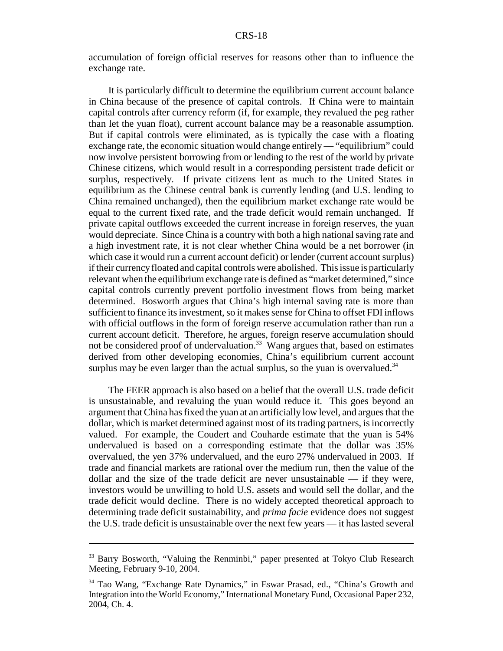accumulation of foreign official reserves for reasons other than to influence the exchange rate.

It is particularly difficult to determine the equilibrium current account balance in China because of the presence of capital controls. If China were to maintain capital controls after currency reform (if, for example, they revalued the peg rather than let the yuan float), current account balance may be a reasonable assumption. But if capital controls were eliminated, as is typically the case with a floating exchange rate, the economic situation would change entirely — "equilibrium" could now involve persistent borrowing from or lending to the rest of the world by private Chinese citizens, which would result in a corresponding persistent trade deficit or surplus, respectively. If private citizens lent as much to the United States in equilibrium as the Chinese central bank is currently lending (and U.S. lending to China remained unchanged), then the equilibrium market exchange rate would be equal to the current fixed rate, and the trade deficit would remain unchanged. If private capital outflows exceeded the current increase in foreign reserves, the yuan would depreciate. Since China is a country with both a high national saving rate and a high investment rate, it is not clear whether China would be a net borrower (in which case it would run a current account deficit) or lender (current account surplus) if their currency floated and capital controls were abolished. This issue is particularly relevant when the equilibrium exchange rate is defined as "market determined," since capital controls currently prevent portfolio investment flows from being market determined. Bosworth argues that China's high internal saving rate is more than sufficient to finance its investment, so it makes sense for China to offset FDI inflows with official outflows in the form of foreign reserve accumulation rather than run a current account deficit. Therefore, he argues, foreign reserve accumulation should not be considered proof of undervaluation. $33$  Wang argues that, based on estimates derived from other developing economies, China's equilibrium current account surplus may be even larger than the actual surplus, so the yuan is overvalued.<sup>34</sup>

The FEER approach is also based on a belief that the overall U.S. trade deficit is unsustainable, and revaluing the yuan would reduce it. This goes beyond an argument that China has fixed the yuan at an artificially low level, and argues that the dollar, which is market determined against most of its trading partners, is incorrectly valued. For example, the Coudert and Couharde estimate that the yuan is 54% undervalued is based on a corresponding estimate that the dollar was 35% overvalued, the yen 37% undervalued, and the euro 27% undervalued in 2003. If trade and financial markets are rational over the medium run, then the value of the dollar and the size of the trade deficit are never unsustainable — if they were, investors would be unwilling to hold U.S. assets and would sell the dollar, and the trade deficit would decline. There is no widely accepted theoretical approach to determining trade deficit sustainability, and *prima facie* evidence does not suggest the U.S. trade deficit is unsustainable over the next few years — it has lasted several

<sup>&</sup>lt;sup>33</sup> Barry Bosworth, "Valuing the Renminbi," paper presented at Tokyo Club Research Meeting, February 9-10, 2004.

<sup>34</sup> Tao Wang, "Exchange Rate Dynamics," in Eswar Prasad, ed., "China's Growth and Integration into the World Economy," International Monetary Fund, Occasional Paper 232, 2004, Ch. 4.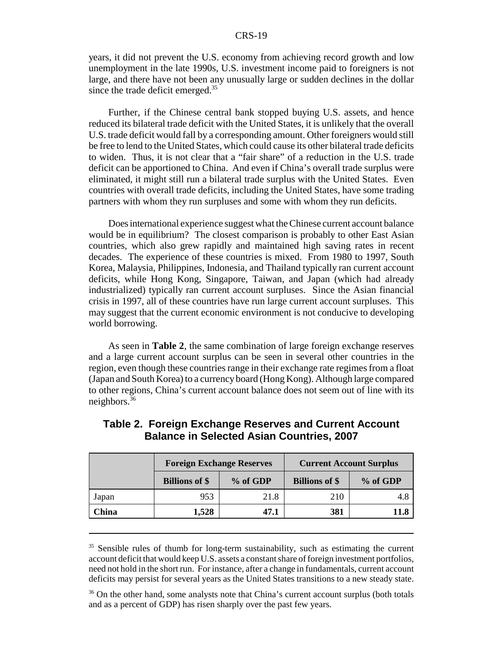years, it did not prevent the U.S. economy from achieving record growth and low unemployment in the late 1990s, U.S. investment income paid to foreigners is not large, and there have not been any unusually large or sudden declines in the dollar since the trade deficit emerged.<sup>35</sup>

Further, if the Chinese central bank stopped buying U.S. assets, and hence reduced its bilateral trade deficit with the United States, it is unlikely that the overall U.S. trade deficit would fall by a corresponding amount. Other foreigners would still be free to lend to the United States, which could cause its other bilateral trade deficits to widen. Thus, it is not clear that a "fair share" of a reduction in the U.S. trade deficit can be apportioned to China. And even if China's overall trade surplus were eliminated, it might still run a bilateral trade surplus with the United States. Even countries with overall trade deficits, including the United States, have some trading partners with whom they run surpluses and some with whom they run deficits.

Does international experience suggest what the Chinese current account balance would be in equilibrium? The closest comparison is probably to other East Asian countries, which also grew rapidly and maintained high saving rates in recent decades. The experience of these countries is mixed. From 1980 to 1997, South Korea, Malaysia, Philippines, Indonesia, and Thailand typically ran current account deficits, while Hong Kong, Singapore, Taiwan, and Japan (which had already industrialized) typically ran current account surpluses. Since the Asian financial crisis in 1997, all of these countries have run large current account surpluses. This may suggest that the current economic environment is not conducive to developing world borrowing.

As seen in **Table 2**, the same combination of large foreign exchange reserves and a large current account surplus can be seen in several other countries in the region, even though these countries range in their exchange rate regimes from a float (Japan and South Korea) to a currency board (Hong Kong). Although large compared to other regions, China's current account balance does not seem out of line with its neighbors.36

|       | <b>Foreign Exchange Reserves</b> |          | <b>Current Account Surplus</b> |          |  |
|-------|----------------------------------|----------|--------------------------------|----------|--|
|       | <b>Billions of \$</b>            | % of GDP | <b>Billions of \$</b>          | % of GDP |  |
| Japan | 953                              | 21.8     | 210                            | 4.8      |  |
| China | 1,528                            | 47.1     | 381                            | 11.8     |  |

#### **Table 2. Foreign Exchange Reserves and Current Account Balance in Selected Asian Countries, 2007**

 $35$  Sensible rules of thumb for long-term sustainability, such as estimating the current account deficit that would keep U.S. assets a constant share of foreign investment portfolios, need not hold in the short run. For instance, after a change in fundamentals, current account deficits may persist for several years as the United States transitions to a new steady state.

<sup>&</sup>lt;sup>36</sup> On the other hand, some analysts note that China's current account surplus (both totals and as a percent of GDP) has risen sharply over the past few years.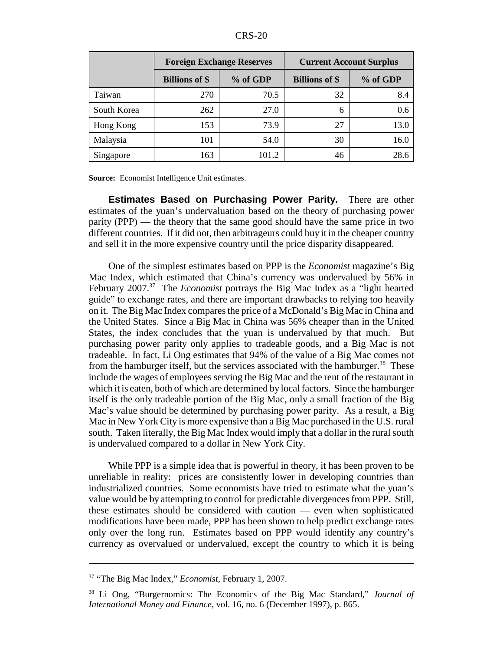|             | <b>Foreign Exchange Reserves</b> |          | <b>Current Account Surplus</b> |          |  |
|-------------|----------------------------------|----------|--------------------------------|----------|--|
|             | <b>Billions of \$</b>            | % of GDP | <b>Billions of \$</b>          | % of GDP |  |
| Taiwan      | 270                              | 70.5     | 32                             | 8.4      |  |
| South Korea | 262                              | 27.0     | 6                              | 0.6      |  |
| Hong Kong   | 153                              | 73.9     | 27                             | 13.0     |  |
| Malaysia    | 101                              | 54.0     | 30                             | 16.0     |  |
| Singapore   | 163                              | 101.2    | 46                             | 28.6     |  |

**Source:** Economist Intelligence Unit estimates.

**Estimates Based on Purchasing Power Parity.** There are other estimates of the yuan's undervaluation based on the theory of purchasing power parity (PPP) — the theory that the same good should have the same price in two different countries. If it did not, then arbitrageurs could buy it in the cheaper country and sell it in the more expensive country until the price disparity disappeared.

One of the simplest estimates based on PPP is the *Economist* magazine's Big Mac Index, which estimated that China's currency was undervalued by 56% in February 2007.<sup>37</sup> The *Economist* portrays the Big Mac Index as a "light hearted" guide" to exchange rates, and there are important drawbacks to relying too heavily on it. The Big Mac Index compares the price of a McDonald's Big Mac in China and the United States. Since a Big Mac in China was 56% cheaper than in the United States, the index concludes that the yuan is undervalued by that much. But purchasing power parity only applies to tradeable goods, and a Big Mac is not tradeable. In fact, Li Ong estimates that 94% of the value of a Big Mac comes not from the hamburger itself, but the services associated with the hamburger.<sup>38</sup> These include the wages of employees serving the Big Mac and the rent of the restaurant in which it is eaten, both of which are determined by local factors. Since the hamburger itself is the only tradeable portion of the Big Mac, only a small fraction of the Big Mac's value should be determined by purchasing power parity. As a result, a Big Mac in New York City is more expensive than a Big Mac purchased in the U.S. rural south. Taken literally, the Big Mac Index would imply that a dollar in the rural south is undervalued compared to a dollar in New York City.

While PPP is a simple idea that is powerful in theory, it has been proven to be unreliable in reality: prices are consistently lower in developing countries than industrialized countries. Some economists have tried to estimate what the yuan's value would be by attempting to control for predictable divergences from PPP. Still, these estimates should be considered with caution — even when sophisticated modifications have been made, PPP has been shown to help predict exchange rates only over the long run. Estimates based on PPP would identify any country's currency as overvalued or undervalued, except the country to which it is being

<sup>37 &</sup>quot;The Big Mac Index," *Economist*, February 1, 2007.

<sup>38</sup> Li Ong, "Burgernomics: The Economics of the Big Mac Standard," *Journal of International Money and Finance*, vol. 16, no. 6 (December 1997), p. 865.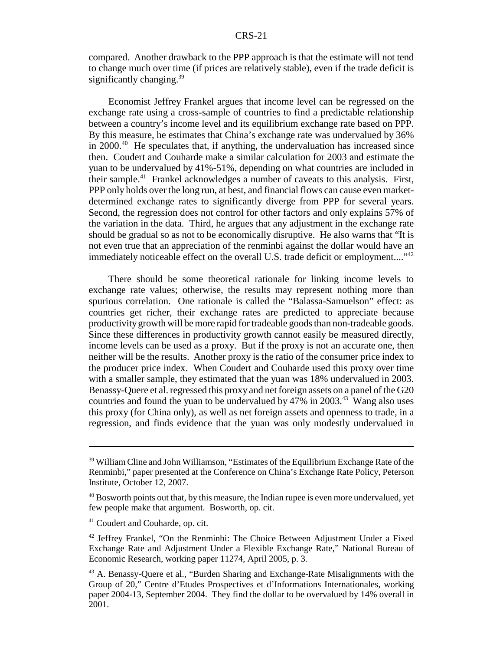compared. Another drawback to the PPP approach is that the estimate will not tend to change much over time (if prices are relatively stable), even if the trade deficit is significantly changing. $39$ 

Economist Jeffrey Frankel argues that income level can be regressed on the exchange rate using a cross-sample of countries to find a predictable relationship between a country's income level and its equilibrium exchange rate based on PPP. By this measure, he estimates that China's exchange rate was undervalued by 36% in  $2000<sup>40</sup>$  He speculates that, if anything, the undervaluation has increased since then. Coudert and Couharde make a similar calculation for 2003 and estimate the yuan to be undervalued by 41%-51%, depending on what countries are included in their sample.41 Frankel acknowledges a number of caveats to this analysis. First, PPP only holds over the long run, at best, and financial flows can cause even marketdetermined exchange rates to significantly diverge from PPP for several years. Second, the regression does not control for other factors and only explains 57% of the variation in the data. Third, he argues that any adjustment in the exchange rate should be gradual so as not to be economically disruptive. He also warns that "It is not even true that an appreciation of the renminbi against the dollar would have an immediately noticeable effect on the overall U.S. trade deficit or employment...." $42$ 

There should be some theoretical rationale for linking income levels to exchange rate values; otherwise, the results may represent nothing more than spurious correlation. One rationale is called the "Balassa-Samuelson" effect: as countries get richer, their exchange rates are predicted to appreciate because productivity growth will be more rapid for tradeable goods than non-tradeable goods. Since these differences in productivity growth cannot easily be measured directly, income levels can be used as a proxy. But if the proxy is not an accurate one, then neither will be the results. Another proxy is the ratio of the consumer price index to the producer price index. When Coudert and Couharde used this proxy over time with a smaller sample, they estimated that the yuan was 18% undervalued in 2003. Benassy-Quere et al. regressed this proxy and net foreign assets on a panel of the G20 countries and found the yuan to be undervalued by  $47\%$  in  $2003<sup>43</sup>$  Wang also uses this proxy (for China only), as well as net foreign assets and openness to trade, in a regression, and finds evidence that the yuan was only modestly undervalued in

<sup>&</sup>lt;sup>39</sup> William Cline and John Williamson, "Estimates of the Equilibrium Exchange Rate of the Renminbi," paper presented at the Conference on China's Exchange Rate Policy, Peterson Institute, October 12, 2007.

 $40$  Bosworth points out that, by this measure, the Indian rupee is even more undervalued, yet few people make that argument. Bosworth, op. cit.

<sup>41</sup> Coudert and Couharde, op. cit.

<sup>&</sup>lt;sup>42</sup> Jeffrey Frankel, "On the Renminbi: The Choice Between Adjustment Under a Fixed Exchange Rate and Adjustment Under a Flexible Exchange Rate," National Bureau of Economic Research, working paper 11274, April 2005, p. 3.

<sup>&</sup>lt;sup>43</sup> A. Benassy-Quere et al., "Burden Sharing and Exchange-Rate Misalignments with the Group of 20," Centre d'Etudes Prospectives et d'Informations Internationales, working paper 2004-13, September 2004. They find the dollar to be overvalued by 14% overall in 2001.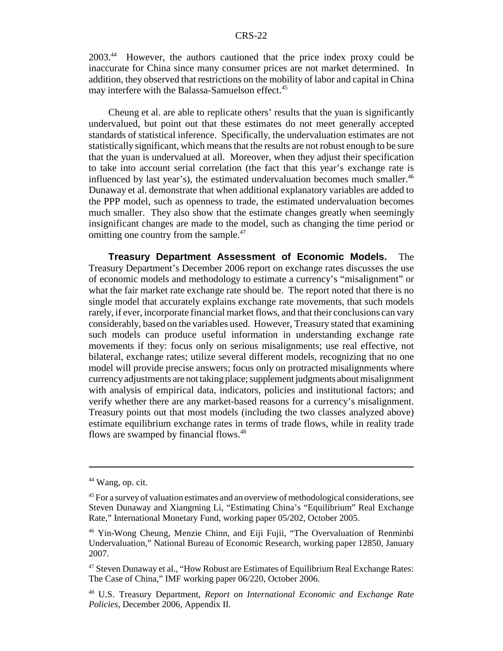2003.44 However, the authors cautioned that the price index proxy could be inaccurate for China since many consumer prices are not market determined. In addition, they observed that restrictions on the mobility of labor and capital in China may interfere with the Balassa-Samuelson effect.<sup>45</sup>

Cheung et al. are able to replicate others' results that the yuan is significantly undervalued, but point out that these estimates do not meet generally accepted standards of statistical inference. Specifically, the undervaluation estimates are not statistically significant, which means that the results are not robust enough to be sure that the yuan is undervalued at all. Moreover, when they adjust their specification to take into account serial correlation (the fact that this year's exchange rate is influenced by last year's), the estimated undervaluation becomes much smaller.<sup>46</sup> Dunaway et al. demonstrate that when additional explanatory variables are added to the PPP model, such as openness to trade, the estimated undervaluation becomes much smaller. They also show that the estimate changes greatly when seemingly insignificant changes are made to the model, such as changing the time period or omitting one country from the sample.<sup>47</sup>

**Treasury Department Assessment of Economic Models.** The Treasury Department's December 2006 report on exchange rates discusses the use of economic models and methodology to estimate a currency's "misalignment" or what the fair market rate exchange rate should be. The report noted that there is no single model that accurately explains exchange rate movements, that such models rarely, if ever, incorporate financial market flows, and that their conclusions can vary considerably, based on the variables used. However, Treasury stated that examining such models can produce useful information in understanding exchange rate movements if they: focus only on serious misalignments; use real effective, not bilateral, exchange rates; utilize several different models, recognizing that no one model will provide precise answers; focus only on protracted misalignments where currency adjustments are not taking place; supplement judgments about misalignment with analysis of empirical data, indicators, policies and institutional factors; and verify whether there are any market-based reasons for a currency's misalignment. Treasury points out that most models (including the two classes analyzed above) estimate equilibrium exchange rates in terms of trade flows, while in reality trade flows are swamped by financial flows.<sup>48</sup>

<sup>44</sup> Wang, op. cit.

<sup>&</sup>lt;sup>45</sup> For a survey of valuation estimates and an overview of methodological considerations, see Steven Dunaway and Xiangming Li, "Estimating China's "Equilibrium" Real Exchange Rate," International Monetary Fund, working paper 05/202, October 2005.

<sup>&</sup>lt;sup>46</sup> Yin-Wong Cheung, Menzie Chinn, and Eiji Fujii, "The Overvaluation of Renminbi Undervaluation," National Bureau of Economic Research, working paper 12850, January 2007.

<sup>&</sup>lt;sup>47</sup> Steven Dunaway et al., "How Robust are Estimates of Equilibrium Real Exchange Rates: The Case of China," IMF working paper 06/220, October 2006.

<sup>48</sup> U.S. Treasury Department, *Report on International Economic and Exchange Rate Policies*, December 2006, Appendix II.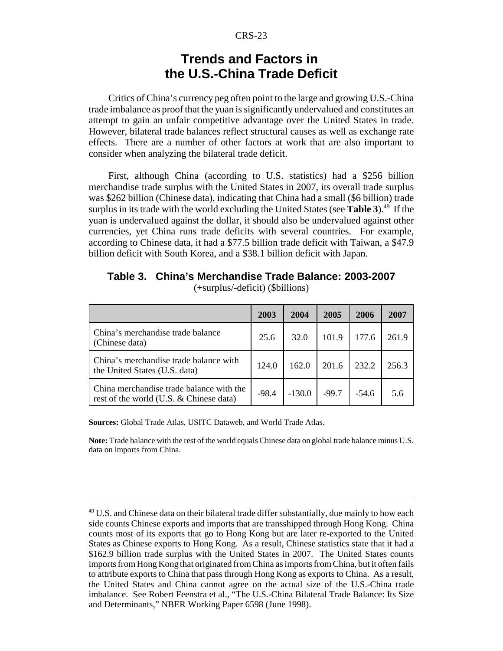## **Trends and Factors in the U.S.-China Trade Deficit**

Critics of China's currency peg often point to the large and growing U.S.-China trade imbalance as proof that the yuan is significantly undervalued and constitutes an attempt to gain an unfair competitive advantage over the United States in trade. However, bilateral trade balances reflect structural causes as well as exchange rate effects. There are a number of other factors at work that are also important to consider when analyzing the bilateral trade deficit.

First, although China (according to U.S. statistics) had a \$256 billion merchandise trade surplus with the United States in 2007, its overall trade surplus was \$262 billion (Chinese data), indicating that China had a small (\$6 billion) trade surplus in its trade with the world excluding the United States (see **Table 3**).<sup>49</sup> If the yuan is undervalued against the dollar, it should also be undervalued against other currencies, yet China runs trade deficits with several countries. For example, according to Chinese data, it had a \$77.5 billion trade deficit with Taiwan, a \$47.9 billion deficit with South Korea, and a \$38.1 billion deficit with Japan.

| Table 3. China's Merchandise Trade Balance: 2003-2007 |
|-------------------------------------------------------|
| (+surplus/-deficit) (\$billions)                      |

|                                                                                     | 2003    | 2004     | 2005    | 2006    | 2007  |
|-------------------------------------------------------------------------------------|---------|----------|---------|---------|-------|
| China's merchandise trade balance<br>(Chinese data)                                 | 25.6    | 32.0     | 101.9   | 177.6   | 261.9 |
| China's merchandise trade balance with<br>the United States (U.S. data)             | 124.0   | 162.0    | 201.6   | 232.2   | 256.3 |
| China merchandise trade balance with the<br>rest of the world (U.S. & Chinese data) | $-98.4$ | $-130.0$ | $-99.7$ | $-54.6$ | 5.6   |

**Sources:** Global Trade Atlas, USITC Dataweb, and World Trade Atlas.

**Note:** Trade balance with the rest of the world equals Chinese data on global trade balance minus U.S. data on imports from China.

<sup>&</sup>lt;sup>49</sup> U.S. and Chinese data on their bilateral trade differ substantially, due mainly to how each side counts Chinese exports and imports that are transshipped through Hong Kong. China counts most of its exports that go to Hong Kong but are later re-exported to the United States as Chinese exports to Hong Kong. As a result, Chinese statistics state that it had a \$162.9 billion trade surplus with the United States in 2007. The United States counts imports from Hong Kong that originated from China as imports from China, but it often fails to attribute exports to China that pass through Hong Kong as exports to China. As a result, the United States and China cannot agree on the actual size of the U.S.-China trade imbalance. See Robert Feenstra et al., "The U.S.-China Bilateral Trade Balance: Its Size and Determinants," NBER Working Paper 6598 (June 1998).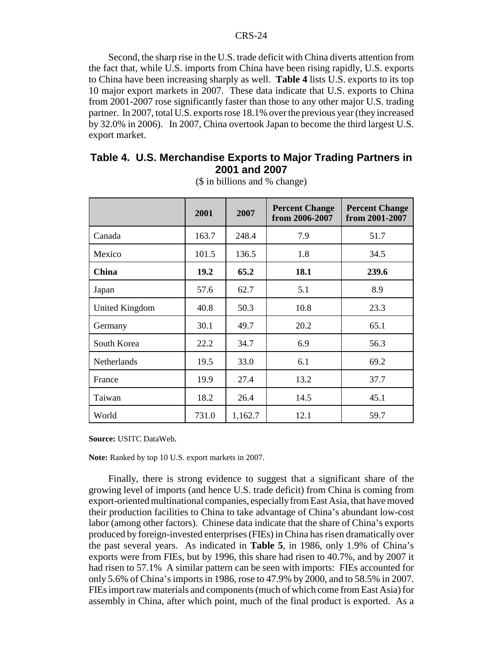Second, the sharp rise in the U.S. trade deficit with China diverts attention from the fact that, while U.S. imports from China have been rising rapidly, U.S. exports to China have been increasing sharply as well. **Table 4** lists U.S. exports to its top 10 major export markets in 2007. These data indicate that U.S. exports to China from 2001-2007 rose significantly faster than those to any other major U.S. trading partner. In 2007, total U.S. exports rose 18.1% over the previous year (they increased by 32.0% in 2006). In 2007, China overtook Japan to become the third largest U.S. export market.

#### **Table 4. U.S. Merchandise Exports to Major Trading Partners in 2001 and 2007**

|                       | 2001  | 2007    | <b>Percent Change</b><br>from 2006-2007 | <b>Percent Change</b><br>from 2001-2007 |
|-----------------------|-------|---------|-----------------------------------------|-----------------------------------------|
| Canada                | 163.7 | 248.4   | 7.9                                     | 51.7                                    |
| Mexico                | 101.5 | 136.5   | 1.8                                     | 34.5                                    |
| China                 | 19.2  | 65.2    | 18.1                                    | 239.6                                   |
| Japan                 | 57.6  | 62.7    | 5.1                                     | 8.9                                     |
| <b>United Kingdom</b> | 40.8  | 50.3    | 10.8                                    | 23.3                                    |
| Germany               | 30.1  | 49.7    | 20.2                                    | 65.1                                    |
| South Korea           | 22.2  | 34.7    | 6.9                                     | 56.3                                    |
| Netherlands           | 19.5  | 33.0    | 6.1                                     | 69.2                                    |
| France                | 19.9  | 27.4    | 13.2                                    | 37.7                                    |
| Taiwan                | 18.2  | 26.4    | 14.5                                    | 45.1                                    |
| World                 | 731.0 | 1,162.7 | 12.1                                    | 59.7                                    |

(\$ in billions and % change)

**Source:** USITC DataWeb.

**Note:** Ranked by top 10 U.S. export markets in 2007.

Finally, there is strong evidence to suggest that a significant share of the growing level of imports (and hence U.S. trade deficit) from China is coming from export-oriented multinational companies, especially from East Asia, that have moved their production facilities to China to take advantage of China's abundant low-cost labor (among other factors). Chinese data indicate that the share of China's exports produced by foreign-invested enterprises (FIEs) in China has risen dramatically over the past several years. As indicated in **Table 5**, in 1986, only 1.9% of China's exports were from FIEs, but by 1996, this share had risen to 40.7%, and by 2007 it had risen to 57.1% A similar pattern can be seen with imports: FIEs accounted for only 5.6% of China's imports in 1986, rose to 47.9% by 2000, and to 58.5% in 2007. FIEs import raw materials and components (much of which come from East Asia) for assembly in China, after which point, much of the final product is exported. As a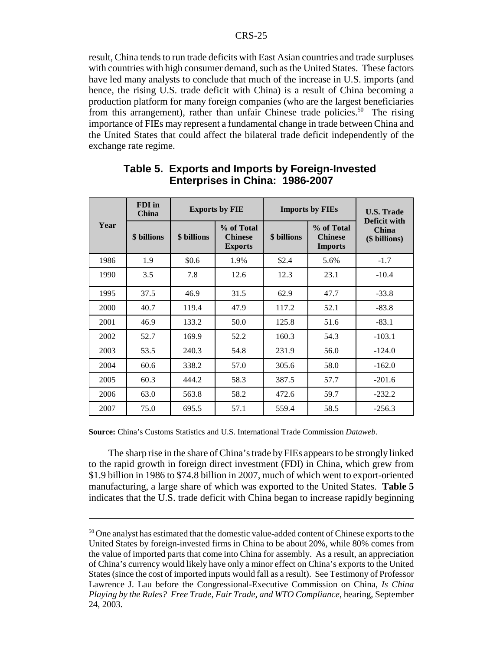result, China tends to run trade deficits with East Asian countries and trade surpluses with countries with high consumer demand, such as the United States. These factors have led many analysts to conclude that much of the increase in U.S. imports (and hence, the rising U.S. trade deficit with China) is a result of China becoming a production platform for many foreign companies (who are the largest beneficiaries from this arrangement), rather than unfair Chinese trade policies.<sup>50</sup> The rising importance of FIEs may represent a fundamental change in trade between China and the United States that could affect the bilateral trade deficit independently of the exchange rate regime.

|      | FDI in<br><b>Exports by FIE</b><br><b>China</b> |             |                                                | <b>Imports by FIEs</b> | <b>U.S. Trade</b><br>Deficit with              |                        |
|------|-------------------------------------------------|-------------|------------------------------------------------|------------------------|------------------------------------------------|------------------------|
| Year | \$ billions                                     | \$ billions | % of Total<br><b>Chinese</b><br><b>Exports</b> | \$ billions            | % of Total<br><b>Chinese</b><br><b>Imports</b> | China<br>(\$ billions) |
| 1986 | 1.9                                             | \$0.6       | 1.9%                                           | \$2.4                  | 5.6%                                           | $-1.7$                 |
| 1990 | 3.5                                             | 7.8         | 12.6                                           | 12.3                   | 23.1                                           | $-10.4$                |
| 1995 | 37.5                                            | 46.9        | 31.5                                           | 62.9                   | 47.7                                           | $-33.8$                |
| 2000 | 40.7                                            | 119.4       | 47.9                                           | 117.2                  | 52.1                                           | $-83.8$                |
| 2001 | 46.9                                            | 133.2       | 50.0                                           | 125.8                  | 51.6                                           | $-83.1$                |
| 2002 | 52.7                                            | 169.9       | 52.2                                           | 160.3                  | 54.3                                           | $-103.1$               |
| 2003 | 53.5                                            | 240.3       | 54.8                                           | 231.9                  | 56.0                                           | $-124.0$               |
| 2004 | 60.6                                            | 338.2       | 57.0                                           | 305.6                  | 58.0                                           | $-162.0$               |
| 2005 | 60.3                                            | 444.2       | 58.3                                           | 387.5                  | 57.7                                           | $-201.6$               |
| 2006 | 63.0                                            | 563.8       | 58.2                                           | 472.6                  | 59.7                                           | $-232.2$               |
| 2007 | 75.0                                            | 695.5       | 57.1                                           | 559.4                  | 58.5                                           | $-256.3$               |

#### **Table 5. Exports and Imports by Foreign-Invested Enterprises in China: 1986-2007**

**Source:** China's Customs Statistics and U.S. International Trade Commission *Dataweb*.

The sharp rise in the share of China's trade by FIEs appears to be strongly linked to the rapid growth in foreign direct investment (FDI) in China, which grew from \$1.9 billion in 1986 to \$74.8 billion in 2007, much of which went to export-oriented manufacturing, a large share of which was exported to the United States. **Table 5** indicates that the U.S. trade deficit with China began to increase rapidly beginning

<sup>&</sup>lt;sup>50</sup> One analyst has estimated that the domestic value-added content of Chinese exports to the United States by foreign-invested firms in China to be about 20%, while 80% comes from the value of imported parts that come into China for assembly. As a result, an appreciation of China's currency would likely have only a minor effect on China's exports to the United States (since the cost of imported inputs would fall as a result). See Testimony of Professor Lawrence J. Lau before the Congressional-Executive Commission on China, *Is China Playing by the Rules? Free Trade, Fair Trade, and WTO Compliance*, hearing, September 24, 2003.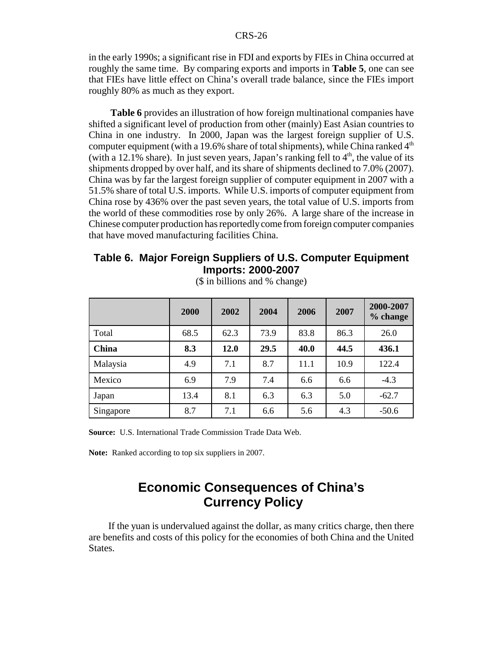in the early 1990s; a significant rise in FDI and exports by FIEs in China occurred at roughly the same time. By comparing exports and imports in **Table 5**, one can see that FIEs have little effect on China's overall trade balance, since the FIEs import roughly 80% as much as they export.

**Table 6** provides an illustration of how foreign multinational companies have shifted a significant level of production from other (mainly) East Asian countries to China in one industry. In 2000, Japan was the largest foreign supplier of U.S. computer equipment (with a 19.6% share of total shipments), while China ranked  $4<sup>th</sup>$ (with a 12.1% share). In just seven years, Japan's ranking fell to  $4<sup>th</sup>$ , the value of its shipments dropped by over half, and its share of shipments declined to 7.0% (2007). China was by far the largest foreign supplier of computer equipment in 2007 with a 51.5% share of total U.S. imports. While U.S. imports of computer equipment from China rose by 436% over the past seven years, the total value of U.S. imports from the world of these commodities rose by only 26%. A large share of the increase in Chinese computer production has reportedly come from foreign computer companies that have moved manufacturing facilities China.

#### **Table 6. Major Foreign Suppliers of U.S. Computer Equipment Imports: 2000-2007**

|           | 2000 | 2002 | 2004 | 2006 | 2007 | 2000-2007<br>% change |
|-----------|------|------|------|------|------|-----------------------|
| Total     | 68.5 | 62.3 | 73.9 | 83.8 | 86.3 | 26.0                  |
| China     | 8.3  | 12.0 | 29.5 | 40.0 | 44.5 | 436.1                 |
| Malaysia  | 4.9  | 7.1  | 8.7  | 11.1 | 10.9 | 122.4                 |
| Mexico    | 6.9  | 7.9  | 7.4  | 6.6  | 6.6  | $-4.3$                |
| Japan     | 13.4 | 8.1  | 6.3  | 6.3  | 5.0  | $-62.7$               |
| Singapore | 8.7  | 7.1  | 6.6  | 5.6  | 4.3  | $-50.6$               |

(\$ in billions and % change)

**Source:** U.S. International Trade Commission Trade Data Web.

**Note:** Ranked according to top six suppliers in 2007.

## **Economic Consequences of China's Currency Policy**

If the yuan is undervalued against the dollar, as many critics charge, then there are benefits and costs of this policy for the economies of both China and the United States.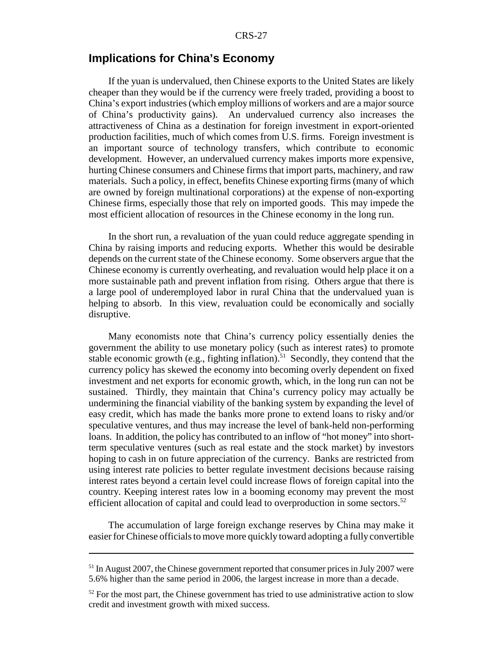#### **Implications for China's Economy**

If the yuan is undervalued, then Chinese exports to the United States are likely cheaper than they would be if the currency were freely traded, providing a boost to China's export industries (which employ millions of workers and are a major source of China's productivity gains). An undervalued currency also increases the attractiveness of China as a destination for foreign investment in export-oriented production facilities, much of which comes from U.S. firms. Foreign investment is an important source of technology transfers, which contribute to economic development. However, an undervalued currency makes imports more expensive, hurting Chinese consumers and Chinese firms that import parts, machinery, and raw materials. Such a policy, in effect, benefits Chinese exporting firms (many of which are owned by foreign multinational corporations) at the expense of non-exporting Chinese firms, especially those that rely on imported goods. This may impede the most efficient allocation of resources in the Chinese economy in the long run.

In the short run, a revaluation of the yuan could reduce aggregate spending in China by raising imports and reducing exports. Whether this would be desirable depends on the current state of the Chinese economy. Some observers argue that the Chinese economy is currently overheating, and revaluation would help place it on a more sustainable path and prevent inflation from rising. Others argue that there is a large pool of underemployed labor in rural China that the undervalued yuan is helping to absorb. In this view, revaluation could be economically and socially disruptive.

Many economists note that China's currency policy essentially denies the government the ability to use monetary policy (such as interest rates) to promote stable economic growth (e.g., fighting inflation).<sup>51</sup> Secondly, they contend that the currency policy has skewed the economy into becoming overly dependent on fixed investment and net exports for economic growth, which, in the long run can not be sustained. Thirdly, they maintain that China's currency policy may actually be undermining the financial viability of the banking system by expanding the level of easy credit, which has made the banks more prone to extend loans to risky and/or speculative ventures, and thus may increase the level of bank-held non-performing loans. In addition, the policy has contributed to an inflow of "hot money" into shortterm speculative ventures (such as real estate and the stock market) by investors hoping to cash in on future appreciation of the currency. Banks are restricted from using interest rate policies to better regulate investment decisions because raising interest rates beyond a certain level could increase flows of foreign capital into the country. Keeping interest rates low in a booming economy may prevent the most efficient allocation of capital and could lead to overproduction in some sectors.<sup>52</sup>

The accumulation of large foreign exchange reserves by China may make it easier for Chinese officials to move more quickly toward adopting a fully convertible

<sup>&</sup>lt;sup>51</sup> In August 2007, the Chinese government reported that consumer prices in July 2007 were 5.6% higher than the same period in 2006, the largest increase in more than a decade.

 $52$  For the most part, the Chinese government has tried to use administrative action to slow credit and investment growth with mixed success.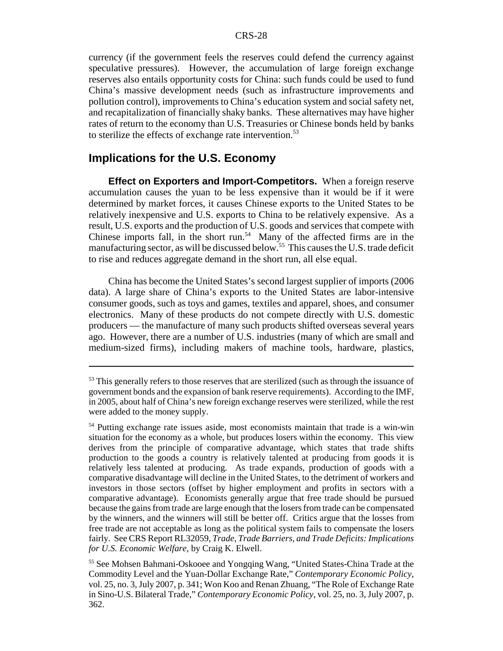currency (if the government feels the reserves could defend the currency against speculative pressures). However, the accumulation of large foreign exchange reserves also entails opportunity costs for China: such funds could be used to fund China's massive development needs (such as infrastructure improvements and pollution control), improvements to China's education system and social safety net, and recapitalization of financially shaky banks. These alternatives may have higher rates of return to the economy than U.S. Treasuries or Chinese bonds held by banks to sterilize the effects of exchange rate intervention.<sup>53</sup>

#### **Implications for the U.S. Economy**

**Effect on Exporters and Import-Competitors.** When a foreign reserve accumulation causes the yuan to be less expensive than it would be if it were determined by market forces, it causes Chinese exports to the United States to be relatively inexpensive and U.S. exports to China to be relatively expensive. As a result, U.S. exports and the production of U.S. goods and services that compete with Chinese imports fall, in the short run.<sup>54</sup> Many of the affected firms are in the manufacturing sector, as will be discussed below.<sup>55</sup> This causes the U.S. trade deficit to rise and reduces aggregate demand in the short run, all else equal.

China has become the United States's second largest supplier of imports (2006 data). A large share of China's exports to the United States are labor-intensive consumer goods, such as toys and games, textiles and apparel, shoes, and consumer electronics. Many of these products do not compete directly with U.S. domestic producers — the manufacture of many such products shifted overseas several years ago. However, there are a number of U.S. industries (many of which are small and medium-sized firms), including makers of machine tools, hardware, plastics,

<sup>&</sup>lt;sup>53</sup> This generally refers to those reserves that are sterilized (such as through the issuance of government bonds and the expansion of bank reserve requirements). According to the IMF, in 2005, about half of China's new foreign exchange reserves were sterilized, while the rest were added to the money supply.

<sup>&</sup>lt;sup>54</sup> Putting exchange rate issues aside, most economists maintain that trade is a win-win situation for the economy as a whole, but produces losers within the economy. This view derives from the principle of comparative advantage, which states that trade shifts production to the goods a country is relatively talented at producing from goods it is relatively less talented at producing. As trade expands, production of goods with a comparative disadvantage will decline in the United States, to the detriment of workers and investors in those sectors (offset by higher employment and profits in sectors with a comparative advantage). Economists generally argue that free trade should be pursued because the gains from trade are large enough that the losers from trade can be compensated by the winners, and the winners will still be better off. Critics argue that the losses from free trade are not acceptable as long as the political system fails to compensate the losers fairly. See CRS Report RL32059, *Trade, Trade Barriers, and Trade Deficits: Implications for U.S. Economic Welfare*, by Craig K. Elwell.

<sup>55</sup> See Mohsen Bahmani-Oskooee and Yongqing Wang, "United States-China Trade at the Commodity Level and the Yuan-Dollar Exchange Rate," *Contemporary Economic Policy*, vol. 25, no. 3, July 2007, p. 341; Won Koo and Renan Zhuang, "The Role of Exchange Rate in Sino-U.S. Bilateral Trade," *Contemporary Economic Policy*, vol. 25, no. 3, July 2007, p. 362.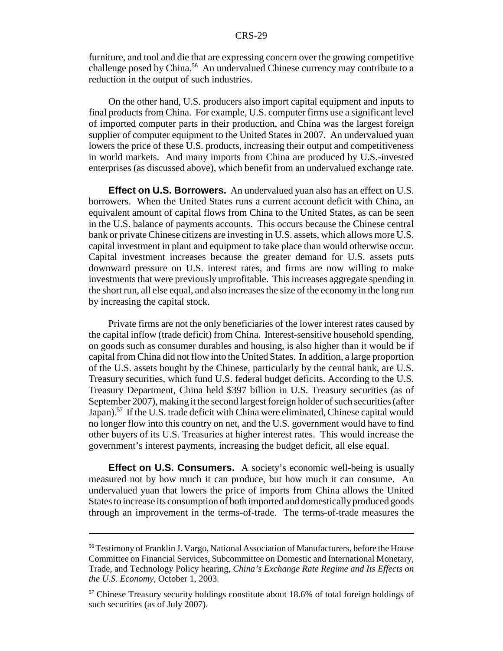furniture, and tool and die that are expressing concern over the growing competitive challenge posed by China.<sup>56</sup> An undervalued Chinese currency may contribute to a reduction in the output of such industries.

On the other hand, U.S. producers also import capital equipment and inputs to final products from China. For example, U.S. computer firms use a significant level of imported computer parts in their production, and China was the largest foreign supplier of computer equipment to the United States in 2007. An undervalued yuan lowers the price of these U.S. products, increasing their output and competitiveness in world markets. And many imports from China are produced by U.S.-invested enterprises (as discussed above), which benefit from an undervalued exchange rate.

**Effect on U.S. Borrowers.** An undervalued yuan also has an effect on U.S. borrowers. When the United States runs a current account deficit with China, an equivalent amount of capital flows from China to the United States, as can be seen in the U.S. balance of payments accounts. This occurs because the Chinese central bank or private Chinese citizens are investing in U.S. assets, which allows more U.S. capital investment in plant and equipment to take place than would otherwise occur. Capital investment increases because the greater demand for U.S. assets puts downward pressure on U.S. interest rates, and firms are now willing to make investments that were previously unprofitable. This increases aggregate spending in the short run, all else equal, and also increases the size of the economy in the long run by increasing the capital stock.

Private firms are not the only beneficiaries of the lower interest rates caused by the capital inflow (trade deficit) from China. Interest-sensitive household spending, on goods such as consumer durables and housing, is also higher than it would be if capital from China did not flow into the United States. In addition, a large proportion of the U.S. assets bought by the Chinese, particularly by the central bank, are U.S. Treasury securities, which fund U.S. federal budget deficits. According to the U.S. Treasury Department, China held \$397 billion in U.S. Treasury securities (as of September 2007), making it the second largest foreign holder of such securities (after Japan).57 If the U.S. trade deficit with China were eliminated, Chinese capital would no longer flow into this country on net, and the U.S. government would have to find other buyers of its U.S. Treasuries at higher interest rates. This would increase the government's interest payments, increasing the budget deficit, all else equal.

**Effect on U.S. Consumers.** A society's economic well-being is usually measured not by how much it can produce, but how much it can consume. An undervalued yuan that lowers the price of imports from China allows the United States to increase its consumption of both imported and domestically produced goods through an improvement in the terms-of-trade. The terms-of-trade measures the

<sup>&</sup>lt;sup>56</sup> Testimony of Franklin J. Vargo, National Association of Manufacturers, before the House Committee on Financial Services, Subcommittee on Domestic and International Monetary, Trade, and Technology Policy hearing, *China's Exchange Rate Regime and Its Effects on the U.S. Economy*, October 1, 2003.

<sup>&</sup>lt;sup>57</sup> Chinese Treasury security holdings constitute about 18.6% of total foreign holdings of such securities (as of July 2007).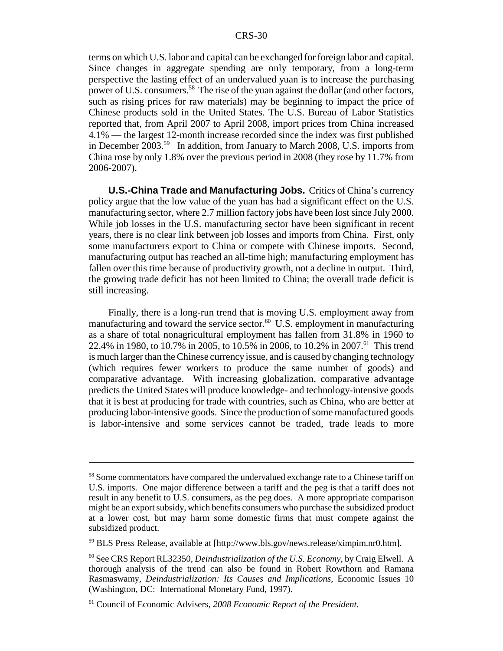terms on which U.S. labor and capital can be exchanged for foreign labor and capital. Since changes in aggregate spending are only temporary, from a long-term perspective the lasting effect of an undervalued yuan is to increase the purchasing power of U.S. consumers.<sup>58</sup> The rise of the yuan against the dollar (and other factors, such as rising prices for raw materials) may be beginning to impact the price of Chinese products sold in the United States. The U.S. Bureau of Labor Statistics reported that, from April 2007 to April 2008, import prices from China increased 4.1% — the largest 12-month increase recorded since the index was first published in December 2003.59 In addition, from January to March 2008, U.S. imports from China rose by only 1.8% over the previous period in 2008 (they rose by 11.7% from 2006-2007).

**U.S.-China Trade and Manufacturing Jobs.** Critics of China's currency policy argue that the low value of the yuan has had a significant effect on the U.S. manufacturing sector, where 2.7 million factory jobs have been lost since July 2000. While job losses in the U.S. manufacturing sector have been significant in recent years, there is no clear link between job losses and imports from China. First, only some manufacturers export to China or compete with Chinese imports. Second, manufacturing output has reached an all-time high; manufacturing employment has fallen over this time because of productivity growth, not a decline in output. Third, the growing trade deficit has not been limited to China; the overall trade deficit is still increasing.

Finally, there is a long-run trend that is moving U.S. employment away from manufacturing and toward the service sector. $60$  U.S. employment in manufacturing as a share of total nonagricultural employment has fallen from 31.8% in 1960 to 22.4% in 1980, to 10.7% in 2005, to 10.5% in 2006, to 10.2% in 2007.<sup>61</sup> This trend is much larger than the Chinese currency issue, and is caused by changing technology (which requires fewer workers to produce the same number of goods) and comparative advantage. With increasing globalization, comparative advantage predicts the United States will produce knowledge- and technology-intensive goods that it is best at producing for trade with countries, such as China, who are better at producing labor-intensive goods. Since the production of some manufactured goods is labor-intensive and some services cannot be traded, trade leads to more

<sup>&</sup>lt;sup>58</sup> Some commentators have compared the undervalued exchange rate to a Chinese tariff on U.S. imports. One major difference between a tariff and the peg is that a tariff does not result in any benefit to U.S. consumers, as the peg does. A more appropriate comparison might be an export subsidy, which benefits consumers who purchase the subsidized product at a lower cost, but may harm some domestic firms that must compete against the subsidized product.

<sup>59</sup> BLS Press Release, available at [http://www.bls.gov/news.release/ximpim.nr0.htm].

<sup>60</sup> See CRS Report RL32350, *Deindustrialization of the U.S. Economy*, by Craig Elwell. A thorough analysis of the trend can also be found in Robert Rowthorn and Ramana Rasmaswamy, *Deindustrialization: Its Causes and Implications*, Economic Issues 10 (Washington, DC: International Monetary Fund, 1997).

<sup>61</sup> Council of Economic Advisers, *2008 Economic Report of the President*.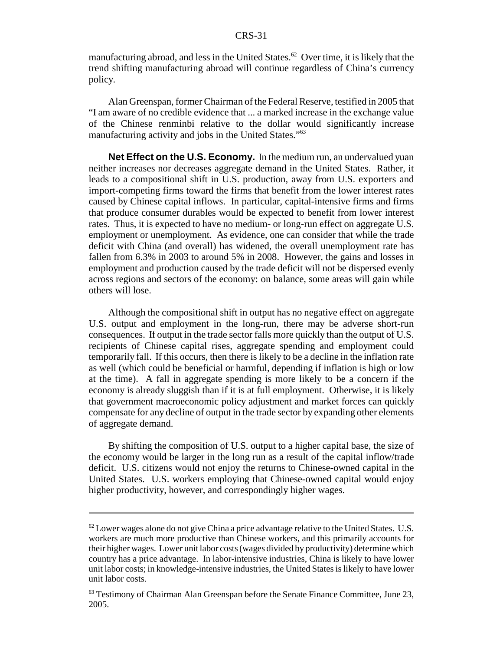manufacturing abroad, and less in the United States.<sup>62</sup> Over time, it is likely that the trend shifting manufacturing abroad will continue regardless of China's currency policy.

Alan Greenspan, former Chairman of the Federal Reserve, testified in 2005 that "I am aware of no credible evidence that ... a marked increase in the exchange value of the Chinese renminbi relative to the dollar would significantly increase manufacturing activity and jobs in the United States."63

**Net Effect on the U.S. Economy.** In the medium run, an undervalued yuan neither increases nor decreases aggregate demand in the United States. Rather, it leads to a compositional shift in U.S. production, away from U.S. exporters and import-competing firms toward the firms that benefit from the lower interest rates caused by Chinese capital inflows. In particular, capital-intensive firms and firms that produce consumer durables would be expected to benefit from lower interest rates. Thus, it is expected to have no medium- or long-run effect on aggregate U.S. employment or unemployment. As evidence, one can consider that while the trade deficit with China (and overall) has widened, the overall unemployment rate has fallen from 6.3% in 2003 to around 5% in 2008. However, the gains and losses in employment and production caused by the trade deficit will not be dispersed evenly across regions and sectors of the economy: on balance, some areas will gain while others will lose.

Although the compositional shift in output has no negative effect on aggregate U.S. output and employment in the long-run, there may be adverse short-run consequences. If output in the trade sector falls more quickly than the output of U.S. recipients of Chinese capital rises, aggregate spending and employment could temporarily fall. If this occurs, then there is likely to be a decline in the inflation rate as well (which could be beneficial or harmful, depending if inflation is high or low at the time). A fall in aggregate spending is more likely to be a concern if the economy is already sluggish than if it is at full employment. Otherwise, it is likely that government macroeconomic policy adjustment and market forces can quickly compensate for any decline of output in the trade sector by expanding other elements of aggregate demand.

By shifting the composition of U.S. output to a higher capital base, the size of the economy would be larger in the long run as a result of the capital inflow/trade deficit. U.S. citizens would not enjoy the returns to Chinese-owned capital in the United States. U.S. workers employing that Chinese-owned capital would enjoy higher productivity, however, and correspondingly higher wages.

 $62$  Lower wages alone do not give China a price advantage relative to the United States. U.S. workers are much more productive than Chinese workers, and this primarily accounts for their higher wages. Lower unit labor costs (wages divided by productivity) determine which country has a price advantage. In labor-intensive industries, China is likely to have lower unit labor costs; in knowledge-intensive industries, the United States is likely to have lower unit labor costs.

 $63$  Testimony of Chairman Alan Greenspan before the Senate Finance Committee, June 23, 2005.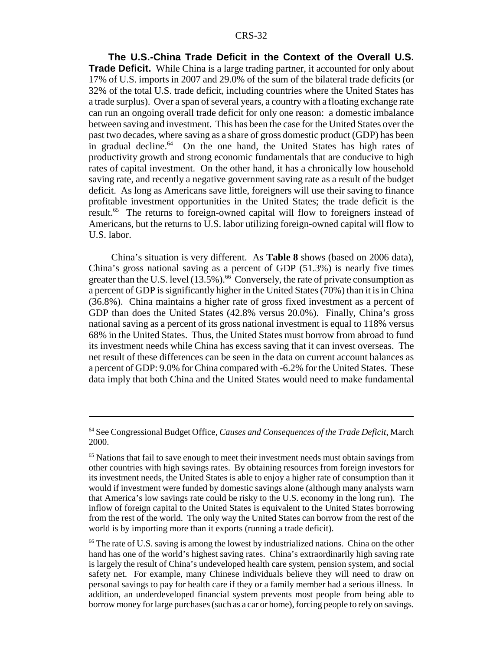**The U.S.-China Trade Deficit in the Context of the Overall U.S. Trade Deficit.** While China is a large trading partner, it accounted for only about 17% of U.S. imports in 2007 and 29.0% of the sum of the bilateral trade deficits (or 32% of the total U.S. trade deficit, including countries where the United States has a trade surplus). Over a span of several years, a country with a floating exchange rate can run an ongoing overall trade deficit for only one reason: a domestic imbalance between saving and investment. This has been the case for the United States over the past two decades, where saving as a share of gross domestic product (GDP) has been in gradual decline. $64$  On the one hand, the United States has high rates of productivity growth and strong economic fundamentals that are conducive to high rates of capital investment. On the other hand, it has a chronically low household saving rate, and recently a negative government saving rate as a result of the budget deficit. As long as Americans save little, foreigners will use their saving to finance profitable investment opportunities in the United States; the trade deficit is the result.65 The returns to foreign-owned capital will flow to foreigners instead of Americans, but the returns to U.S. labor utilizing foreign-owned capital will flow to U.S. labor.

 China's situation is very different. As **Table 8** shows (based on 2006 data), China's gross national saving as a percent of GDP (51.3%) is nearly five times greater than the U.S. level  $(13.5\%)$ .<sup>66</sup> Conversely, the rate of private consumption as a percent of GDP is significantly higher in the United States (70%) than it is in China (36.8%). China maintains a higher rate of gross fixed investment as a percent of GDP than does the United States (42.8% versus 20.0%). Finally, China's gross national saving as a percent of its gross national investment is equal to 118% versus 68% in the United States. Thus, the United States must borrow from abroad to fund its investment needs while China has excess saving that it can invest overseas. The net result of these differences can be seen in the data on current account balances as a percent of GDP: 9.0% for China compared with -6.2% for the United States. These data imply that both China and the United States would need to make fundamental

<sup>64</sup> See Congressional Budget Office, *Causes and Consequences of the Trade Deficit*, March 2000.

<sup>&</sup>lt;sup>65</sup> Nations that fail to save enough to meet their investment needs must obtain savings from other countries with high savings rates. By obtaining resources from foreign investors for its investment needs, the United States is able to enjoy a higher rate of consumption than it would if investment were funded by domestic savings alone (although many analysts warn that America's low savings rate could be risky to the U.S. economy in the long run). The inflow of foreign capital to the United States is equivalent to the United States borrowing from the rest of the world. The only way the United States can borrow from the rest of the world is by importing more than it exports (running a trade deficit).

<sup>&</sup>lt;sup>66</sup> The rate of U.S. saving is among the lowest by industrialized nations. China on the other hand has one of the world's highest saving rates. China's extraordinarily high saving rate is largely the result of China's undeveloped health care system, pension system, and social safety net. For example, many Chinese individuals believe they will need to draw on personal savings to pay for health care if they or a family member had a serious illness. In addition, an underdeveloped financial system prevents most people from being able to borrow money for large purchases (such as a car or home), forcing people to rely on savings.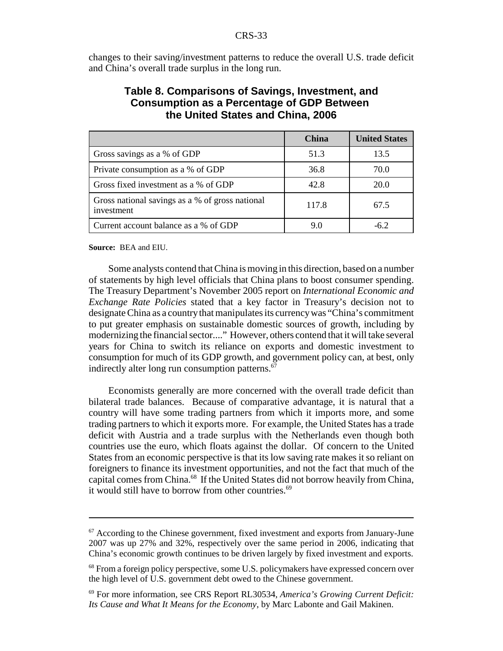changes to their saving/investment patterns to reduce the overall U.S. trade deficit and China's overall trade surplus in the long run.

|                                                               | <b>China</b> | <b>United States</b> |
|---------------------------------------------------------------|--------------|----------------------|
| Gross savings as a % of GDP                                   | 51.3         | 13.5                 |
| Private consumption as a % of GDP                             | 36.8         | 70.0                 |
| Gross fixed investment as a % of GDP                          | 42.8         | 20.0                 |
| Gross national savings as a % of gross national<br>investment | 117.8        | 67.5                 |
| Current account balance as a % of GDP                         | 9.0          |                      |

#### **Table 8. Comparisons of Savings, Investment, and Consumption as a Percentage of GDP Between the United States and China, 2006**

**Source:** BEA and EIU.

Some analysts contend that China is moving in this direction, based on a number of statements by high level officials that China plans to boost consumer spending. The Treasury Department's November 2005 report on *International Economic and Exchange Rate Policies* stated that a key factor in Treasury's decision not to designate China as a country that manipulates its currency was "China's commitment to put greater emphasis on sustainable domestic sources of growth, including by modernizing the financial sector...." However, others contend that it will take several years for China to switch its reliance on exports and domestic investment to consumption for much of its GDP growth, and government policy can, at best, only indirectly alter long run consumption patterns.<sup>67</sup>

Economists generally are more concerned with the overall trade deficit than bilateral trade balances. Because of comparative advantage, it is natural that a country will have some trading partners from which it imports more, and some trading partners to which it exports more. For example, the United States has a trade deficit with Austria and a trade surplus with the Netherlands even though both countries use the euro, which floats against the dollar. Of concern to the United States from an economic perspective is that its low saving rate makes it so reliant on foreigners to finance its investment opportunities, and not the fact that much of the capital comes from China.<sup>68</sup> If the United States did not borrow heavily from China, it would still have to borrow from other countries.<sup>69</sup>

 $67$  According to the Chinese government, fixed investment and exports from January-June 2007 was up 27% and 32%, respectively over the same period in 2006, indicating that China's economic growth continues to be driven largely by fixed investment and exports.

<sup>&</sup>lt;sup>68</sup> From a foreign policy perspective, some U.S. policymakers have expressed concern over the high level of U.S. government debt owed to the Chinese government.

<sup>69</sup> For more information, see CRS Report RL30534, *America's Growing Current Deficit: Its Cause and What It Means for the Economy*, by Marc Labonte and Gail Makinen.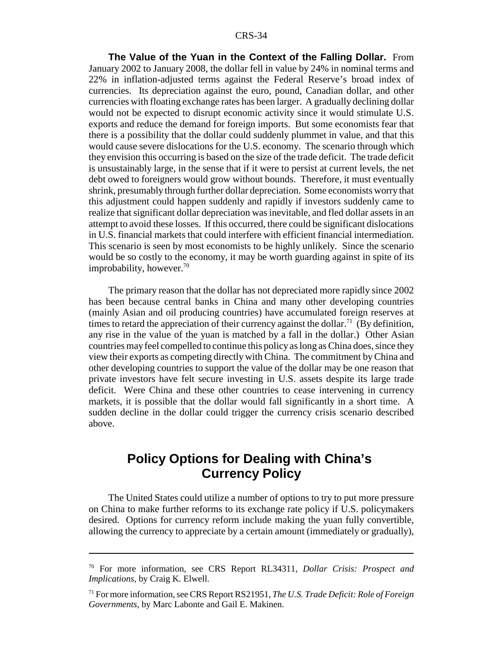**The Value of the Yuan in the Context of the Falling Dollar.** From January 2002 to January 2008, the dollar fell in value by 24% in nominal terms and 22% in inflation-adjusted terms against the Federal Reserve's broad index of currencies. Its depreciation against the euro, pound, Canadian dollar, and other currencies with floating exchange rates has been larger. A gradually declining dollar would not be expected to disrupt economic activity since it would stimulate U.S. exports and reduce the demand for foreign imports. But some economists fear that there is a possibility that the dollar could suddenly plummet in value, and that this would cause severe dislocations for the U.S. economy. The scenario through which they envision this occurring is based on the size of the trade deficit. The trade deficit is unsustainably large, in the sense that if it were to persist at current levels, the net debt owed to foreigners would grow without bounds. Therefore, it must eventually shrink, presumably through further dollar depreciation. Some economists worry that this adjustment could happen suddenly and rapidly if investors suddenly came to realize that significant dollar depreciation was inevitable, and fled dollar assets in an attempt to avoid these losses. If this occurred, there could be significant dislocations in U.S. financial markets that could interfere with efficient financial intermediation. This scenario is seen by most economists to be highly unlikely. Since the scenario would be so costly to the economy, it may be worth guarding against in spite of its improbability, however.<sup>70</sup>

The primary reason that the dollar has not depreciated more rapidly since 2002 has been because central banks in China and many other developing countries (mainly Asian and oil producing countries) have accumulated foreign reserves at times to retard the appreciation of their currency against the dollar.<sup>71</sup> (By definition, any rise in the value of the yuan is matched by a fall in the dollar.) Other Asian countries may feel compelled to continue this policy as long as China does, since they view their exports as competing directly with China. The commitment by China and other developing countries to support the value of the dollar may be one reason that private investors have felt secure investing in U.S. assets despite its large trade deficit. Were China and these other countries to cease intervening in currency markets, it is possible that the dollar would fall significantly in a short time. A sudden decline in the dollar could trigger the currency crisis scenario described above.

## **Policy Options for Dealing with China's Currency Policy**

The United States could utilize a number of options to try to put more pressure on China to make further reforms to its exchange rate policy if U.S. policymakers desired. Options for currency reform include making the yuan fully convertible, allowing the currency to appreciate by a certain amount (immediately or gradually),

<sup>70</sup> For more information, see CRS Report RL34311, *Dollar Crisis: Prospect and Implications*, by Craig K. Elwell.

<sup>71</sup> For more information, see CRS Report RS21951, *The U.S. Trade Deficit: Role of Foreign Governments*, by Marc Labonte and Gail E. Makinen.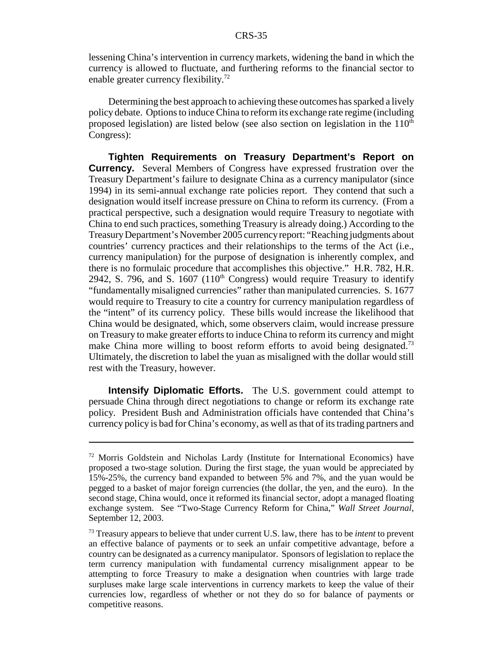lessening China's intervention in currency markets, widening the band in which the currency is allowed to fluctuate, and furthering reforms to the financial sector to enable greater currency flexibility.<sup>72</sup>

Determining the best approach to achieving these outcomes has sparked a lively policy debate. Options to induce China to reform its exchange rate regime (including proposed legislation) are listed below (see also section on legislation in the  $110<sup>th</sup>$ Congress):

**Tighten Requirements on Treasury Department's Report on Currency.** Several Members of Congress have expressed frustration over the Treasury Department's failure to designate China as a currency manipulator (since 1994) in its semi-annual exchange rate policies report. They contend that such a designation would itself increase pressure on China to reform its currency. (From a practical perspective, such a designation would require Treasury to negotiate with China to end such practices, something Treasury is already doing.) According to the Treasury Department's November 2005 currency report: "Reaching judgments about countries' currency practices and their relationships to the terms of the Act (i.e., currency manipulation) for the purpose of designation is inherently complex, and there is no formulaic procedure that accomplishes this objective." H.R. 782, H.R. 2942, S. 796, and S. 1607  $(110<sup>th</sup> Congress)$  would require Treasury to identify "fundamentally misaligned currencies" rather than manipulated currencies. S. 1677 would require to Treasury to cite a country for currency manipulation regardless of the "intent" of its currency policy. These bills would increase the likelihood that China would be designated, which, some observers claim, would increase pressure on Treasury to make greater efforts to induce China to reform its currency and might make China more willing to boost reform efforts to avoid being designated.<sup>73</sup> Ultimately, the discretion to label the yuan as misaligned with the dollar would still rest with the Treasury, however.

**Intensify Diplomatic Efforts.** The U.S. government could attempt to persuade China through direct negotiations to change or reform its exchange rate policy. President Bush and Administration officials have contended that China's currency policy is bad for China's economy, as well as that of its trading partners and

<sup>72</sup> Morris Goldstein and Nicholas Lardy (Institute for International Economics) have proposed a two-stage solution. During the first stage, the yuan would be appreciated by 15%-25%, the currency band expanded to between 5% and 7%, and the yuan would be pegged to a basket of major foreign currencies (the dollar, the yen, and the euro). In the second stage, China would, once it reformed its financial sector, adopt a managed floating exchange system. See "Two-Stage Currency Reform for China," *Wall Street Journal*, September 12, 2003.

<sup>73</sup> Treasury appears to believe that under current U.S. law, there has to be *intent* to prevent an effective balance of payments or to seek an unfair competitive advantage, before a country can be designated as a currency manipulator. Sponsors of legislation to replace the term currency manipulation with fundamental currency misalignment appear to be attempting to force Treasury to make a designation when countries with large trade surpluses make large scale interventions in currency markets to keep the value of their currencies low, regardless of whether or not they do so for balance of payments or competitive reasons.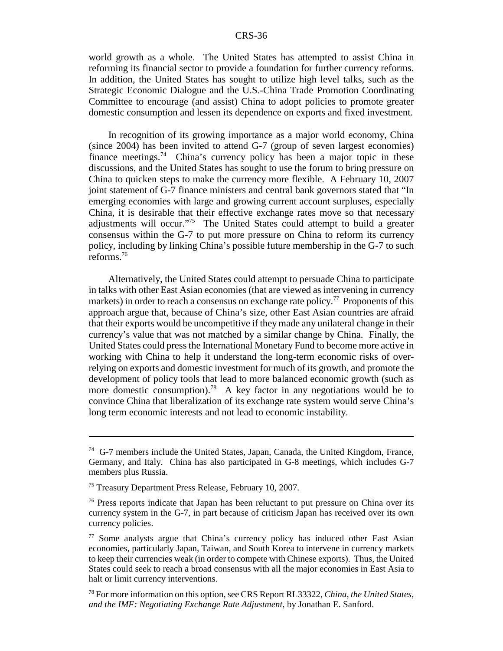world growth as a whole. The United States has attempted to assist China in reforming its financial sector to provide a foundation for further currency reforms. In addition, the United States has sought to utilize high level talks, such as the Strategic Economic Dialogue and the U.S.-China Trade Promotion Coordinating Committee to encourage (and assist) China to adopt policies to promote greater domestic consumption and lessen its dependence on exports and fixed investment.

In recognition of its growing importance as a major world economy, China (since 2004) has been invited to attend G-7 (group of seven largest economies) finance meetings.<sup>74</sup> China's currency policy has been a major topic in these discussions, and the United States has sought to use the forum to bring pressure on China to quicken steps to make the currency more flexible. A February 10, 2007 joint statement of G-7 finance ministers and central bank governors stated that "In emerging economies with large and growing current account surpluses, especially China, it is desirable that their effective exchange rates move so that necessary adjustments will occur."75 The United States could attempt to build a greater consensus within the G-7 to put more pressure on China to reform its currency policy, including by linking China's possible future membership in the G-7 to such reforms.76

Alternatively, the United States could attempt to persuade China to participate in talks with other East Asian economies (that are viewed as intervening in currency markets) in order to reach a consensus on exchange rate policy.<sup>77</sup> Proponents of this approach argue that, because of China's size, other East Asian countries are afraid that their exports would be uncompetitive if they made any unilateral change in their currency's value that was not matched by a similar change by China. Finally, the United States could press the International Monetary Fund to become more active in working with China to help it understand the long-term economic risks of overrelying on exports and domestic investment for much of its growth, and promote the development of policy tools that lead to more balanced economic growth (such as more domestic consumption).<sup>78</sup> A key factor in any negotiations would be to convince China that liberalization of its exchange rate system would serve China's long term economic interests and not lead to economic instability.

<sup>74</sup> G-7 members include the United States, Japan, Canada, the United Kingdom, France, Germany, and Italy. China has also participated in G-8 meetings, which includes G-7 members plus Russia.

<sup>75</sup> Treasury Department Press Release, February 10, 2007.

<sup>&</sup>lt;sup>76</sup> Press reports indicate that Japan has been reluctant to put pressure on China over its currency system in the G-7, in part because of criticism Japan has received over its own currency policies.

<sup>&</sup>lt;sup>77</sup> Some analysts argue that China's currency policy has induced other East Asian economies, particularly Japan, Taiwan, and South Korea to intervene in currency markets to keep their currencies weak (in order to compete with Chinese exports). Thus, the United States could seek to reach a broad consensus with all the major economies in East Asia to halt or limit currency interventions.

<sup>78</sup> For more information on this option, see CRS Report RL33322, *China, the United States, and the IMF: Negotiating Exchange Rate Adjustment*, by Jonathan E. Sanford.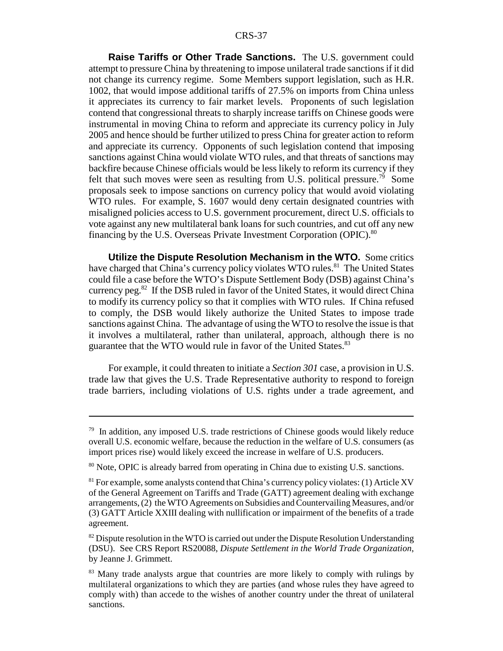**Raise Tariffs or Other Trade Sanctions.** The U.S. government could attempt to pressure China by threatening to impose unilateral trade sanctions if it did not change its currency regime. Some Members support legislation, such as H.R. 1002, that would impose additional tariffs of 27.5% on imports from China unless it appreciates its currency to fair market levels. Proponents of such legislation contend that congressional threats to sharply increase tariffs on Chinese goods were instrumental in moving China to reform and appreciate its currency policy in July 2005 and hence should be further utilized to press China for greater action to reform and appreciate its currency. Opponents of such legislation contend that imposing sanctions against China would violate WTO rules, and that threats of sanctions may backfire because Chinese officials would be less likely to reform its currency if they felt that such moves were seen as resulting from U.S. political pressure.<sup>79</sup> Some proposals seek to impose sanctions on currency policy that would avoid violating WTO rules. For example, S. 1607 would deny certain designated countries with misaligned policies access to U.S. government procurement, direct U.S. officials to vote against any new multilateral bank loans for such countries, and cut off any new financing by the U.S. Overseas Private Investment Corporation (OPIC).<sup>80</sup>

**Utilize the Dispute Resolution Mechanism in the WTO.** Some critics have charged that China's currency policy violates WTO rules.<sup>81</sup> The United States could file a case before the WTO's Dispute Settlement Body (DSB) against China's currency peg.82 If the DSB ruled in favor of the United States, it would direct China to modify its currency policy so that it complies with WTO rules. If China refused to comply, the DSB would likely authorize the United States to impose trade sanctions against China. The advantage of using the WTO to resolve the issue is that it involves a multilateral, rather than unilateral, approach, although there is no guarantee that the WTO would rule in favor of the United States.<sup>83</sup>

For example, it could threaten to initiate a *Section 301* case, a provision in U.S. trade law that gives the U.S. Trade Representative authority to respond to foreign trade barriers, including violations of U.S. rights under a trade agreement, and

 $79$  In addition, any imposed U.S. trade restrictions of Chinese goods would likely reduce overall U.S. economic welfare, because the reduction in the welfare of U.S. consumers (as import prices rise) would likely exceed the increase in welfare of U.S. producers.

 $80$  Note, OPIC is already barred from operating in China due to existing U.S. sanctions.

 $81$  For example, some analysts contend that China's currency policy violates: (1) Article XV of the General Agreement on Tariffs and Trade (GATT) agreement dealing with exchange arrangements, (2) the WTO Agreements on Subsidies and Countervailing Measures, and/or (3) GATT Article XXIII dealing with nullification or impairment of the benefits of a trade agreement.

 $82$  Dispute resolution in the WTO is carried out under the Dispute Resolution Understanding (DSU). See CRS Report RS20088, *Dispute Settlement in the World Trade Organization*, by Jeanne J. Grimmett.

<sup>&</sup>lt;sup>83</sup> Many trade analysts argue that countries are more likely to comply with rulings by multilateral organizations to which they are parties (and whose rules they have agreed to comply with) than accede to the wishes of another country under the threat of unilateral sanctions.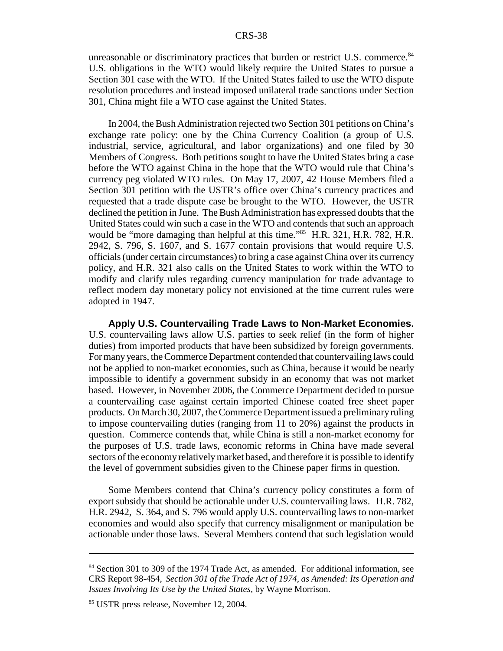unreasonable or discriminatory practices that burden or restrict U.S. commerce.<sup>84</sup> U.S. obligations in the WTO would likely require the United States to pursue a Section 301 case with the WTO. If the United States failed to use the WTO dispute resolution procedures and instead imposed unilateral trade sanctions under Section 301, China might file a WTO case against the United States.

In 2004, the Bush Administration rejected two Section 301 petitions on China's exchange rate policy: one by the China Currency Coalition (a group of U.S. industrial, service, agricultural, and labor organizations) and one filed by 30 Members of Congress. Both petitions sought to have the United States bring a case before the WTO against China in the hope that the WTO would rule that China's currency peg violated WTO rules. On May 17, 2007, 42 House Members filed a Section 301 petition with the USTR's office over China's currency practices and requested that a trade dispute case be brought to the WTO. However, the USTR declined the petition in June. The Bush Administration has expressed doubts that the United States could win such a case in the WTO and contends that such an approach would be "more damaging than helpful at this time."<sup>85</sup> H.R. 321, H.R. 782, H.R. 2942, S. 796, S. 1607, and S. 1677 contain provisions that would require U.S. officials (under certain circumstances) to bring a case against China over its currency policy, and H.R. 321 also calls on the United States to work within the WTO to modify and clarify rules regarding currency manipulation for trade advantage to reflect modern day monetary policy not envisioned at the time current rules were adopted in 1947.

**Apply U.S. Countervailing Trade Laws to Non-Market Economies.** U.S. countervailing laws allow U.S. parties to seek relief (in the form of higher duties) from imported products that have been subsidized by foreign governments. For many years, the Commerce Department contended that countervailing laws could not be applied to non-market economies, such as China, because it would be nearly impossible to identify a government subsidy in an economy that was not market based. However, in November 2006, the Commerce Department decided to pursue a countervailing case against certain imported Chinese coated free sheet paper products. On March 30, 2007, the Commerce Department issued a preliminary ruling to impose countervailing duties (ranging from 11 to 20%) against the products in question. Commerce contends that, while China is still a non-market economy for the purposes of U.S. trade laws, economic reforms in China have made several sectors of the economy relatively market based, and therefore it is possible to identify the level of government subsidies given to the Chinese paper firms in question.

Some Members contend that China's currency policy constitutes a form of export subsidy that should be actionable under U.S. countervailing laws. H.R. 782, H.R. 2942, S. 364, and S. 796 would apply U.S. countervailing laws to non-market economies and would also specify that currency misalignment or manipulation be actionable under those laws. Several Members contend that such legislation would

<sup>&</sup>lt;sup>84</sup> Section 301 to 309 of the 1974 Trade Act, as amended. For additional information, see CRS Report 98-454, *Section 301 of the Trade Act of 1974, as Amended: Its Operation and Issues Involving Its Use by the United States,* by Wayne Morrison.

<sup>85</sup> USTR press release, November 12, 2004.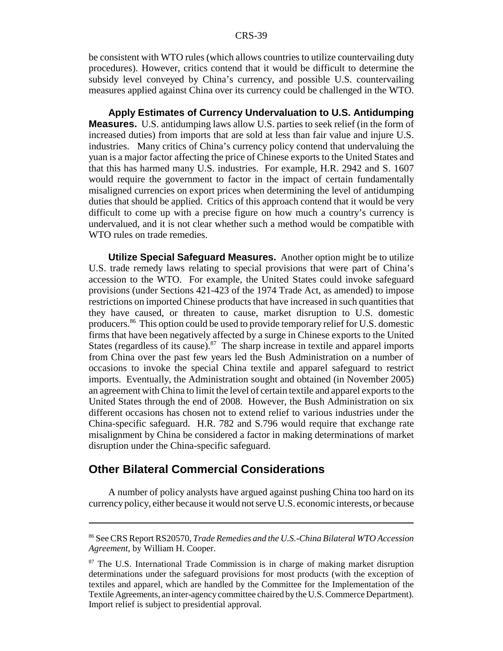be consistent with WTO rules (which allows countries to utilize countervailing duty procedures). However, critics contend that it would be difficult to determine the subsidy level conveyed by China's currency, and possible U.S. countervailing measures applied against China over its currency could be challenged in the WTO.

**Apply Estimates of Currency Undervaluation to U.S. Antidumping Measures.** U.S. antidumping laws allow U.S. parties to seek relief (in the form of increased duties) from imports that are sold at less than fair value and injure U.S. industries. Many critics of China's currency policy contend that undervaluing the yuan is a major factor affecting the price of Chinese exports to the United States and that this has harmed many U.S. industries. For example, H.R. 2942 and S. 1607 would require the government to factor in the impact of certain fundamentally misaligned currencies on export prices when determining the level of antidumping duties that should be applied. Critics of this approach contend that it would be very difficult to come up with a precise figure on how much a country's currency is undervalued, and it is not clear whether such a method would be compatible with WTO rules on trade remedies.

**Utilize Special Safeguard Measures.** Another option might be to utilize U.S. trade remedy laws relating to special provisions that were part of China's accession to the WTO. For example, the United States could invoke safeguard provisions (under Sections 421-423 of the 1974 Trade Act, as amended) to impose restrictions on imported Chinese products that have increased in such quantities that they have caused, or threaten to cause, market disruption to U.S. domestic producers.86 This option could be used to provide temporary relief for U.S. domestic firms that have been negatively affected by a surge in Chinese exports to the United States (regardless of its cause). $87$  The sharp increase in textile and apparel imports from China over the past few years led the Bush Administration on a number of occasions to invoke the special China textile and apparel safeguard to restrict imports. Eventually, the Administration sought and obtained (in November 2005) an agreement with China to limit the level of certain textile and apparel exports to the United States through the end of 2008. However, the Bush Administration on six different occasions has chosen not to extend relief to various industries under the China-specific safeguard. H.R. 782 and S.796 would require that exchange rate misalignment by China be considered a factor in making determinations of market disruption under the China-specific safeguard.

#### **Other Bilateral Commercial Considerations**

A number of policy analysts have argued against pushing China too hard on its currency policy, either because it would not serve U.S. economic interests, or because

<sup>86</sup> See CRS Report RS20570, *Trade Remedies and the U.S.-China Bilateral WTO Accession Agreement*, by William H. Cooper.

<sup>87</sup> The U.S. International Trade Commission is in charge of making market disruption determinations under the safeguard provisions for most products (with the exception of textiles and apparel, which are handled by the Committee for the Implementation of the Textile Agreements, an inter-agency committee chaired by the U.S. Commerce Department). Import relief is subject to presidential approval.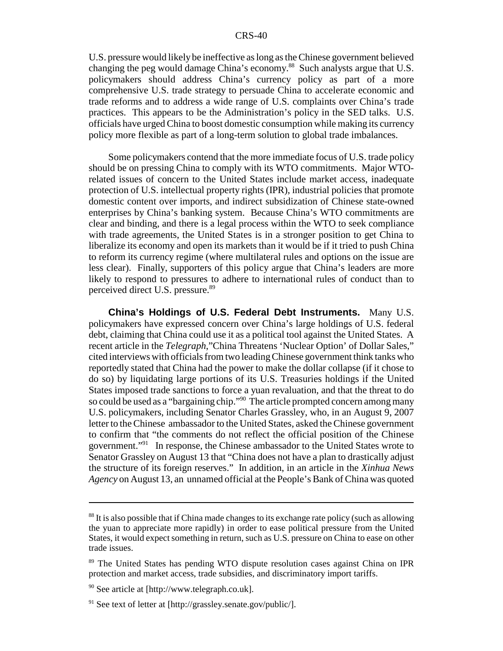U.S. pressure would likely be ineffective as long as the Chinese government believed changing the peg would damage China's economy.<sup>88</sup> Such analysts argue that U.S. policymakers should address China's currency policy as part of a more comprehensive U.S. trade strategy to persuade China to accelerate economic and trade reforms and to address a wide range of U.S. complaints over China's trade practices. This appears to be the Administration's policy in the SED talks. U.S. officials have urged China to boost domestic consumption while making its currency policy more flexible as part of a long-term solution to global trade imbalances.

Some policymakers contend that the more immediate focus of U.S. trade policy should be on pressing China to comply with its WTO commitments. Major WTOrelated issues of concern to the United States include market access, inadequate protection of U.S. intellectual property rights (IPR), industrial policies that promote domestic content over imports, and indirect subsidization of Chinese state-owned enterprises by China's banking system. Because China's WTO commitments are clear and binding, and there is a legal process within the WTO to seek compliance with trade agreements, the United States is in a stronger position to get China to liberalize its economy and open its markets than it would be if it tried to push China to reform its currency regime (where multilateral rules and options on the issue are less clear). Finally, supporters of this policy argue that China's leaders are more likely to respond to pressures to adhere to international rules of conduct than to perceived direct U.S. pressure.<sup>89</sup>

**China's Holdings of U.S. Federal Debt Instruments.** Many U.S. policymakers have expressed concern over China's large holdings of U.S. federal debt, claiming that China could use it as a political tool against the United States. A recent article in the *Telegraph*,"China Threatens 'Nuclear Option' of Dollar Sales," cited interviews with officials from two leading Chinese government think tanks who reportedly stated that China had the power to make the dollar collapse (if it chose to do so) by liquidating large portions of its U.S. Treasuries holdings if the United States imposed trade sanctions to force a yuan revaluation, and that the threat to do so could be used as a "bargaining chip."<sup>90</sup> The article prompted concern among many U.S. policymakers, including Senator Charles Grassley, who, in an August 9, 2007 letter to the Chinese ambassador to the United States, asked the Chinese government to confirm that "the comments do not reflect the official position of the Chinese government."91 In response, the Chinese ambassador to the United States wrote to Senator Grassley on August 13 that "China does not have a plan to drastically adjust the structure of its foreign reserves." In addition, in an article in the *Xinhua News Agency* on August 13, an unnamed official at the People's Bank of China was quoted

<sup>&</sup>lt;sup>88</sup> It is also possible that if China made changes to its exchange rate policy (such as allowing the yuan to appreciate more rapidly) in order to ease political pressure from the United States, it would expect something in return, such as U.S. pressure on China to ease on other trade issues.

<sup>89</sup> The United States has pending WTO dispute resolution cases against China on IPR protection and market access, trade subsidies, and discriminatory import tariffs.

 $90$  See article at [http://www.telegraph.co.uk].

 $91$  See text of letter at [http://grassley.senate.gov/public/].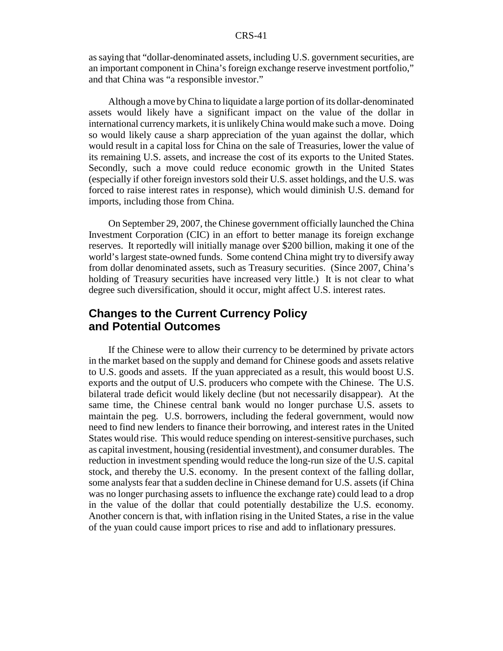as saying that "dollar-denominated assets, including U.S. government securities, are an important component in China's foreign exchange reserve investment portfolio," and that China was "a responsible investor."

Although a move by China to liquidate a large portion of its dollar-denominated assets would likely have a significant impact on the value of the dollar in international currency markets, it is unlikely China would make such a move. Doing so would likely cause a sharp appreciation of the yuan against the dollar, which would result in a capital loss for China on the sale of Treasuries, lower the value of its remaining U.S. assets, and increase the cost of its exports to the United States. Secondly, such a move could reduce economic growth in the United States (especially if other foreign investors sold their U.S. asset holdings, and the U.S. was forced to raise interest rates in response), which would diminish U.S. demand for imports, including those from China.

On September 29, 2007, the Chinese government officially launched the China Investment Corporation (CIC) in an effort to better manage its foreign exchange reserves. It reportedly will initially manage over \$200 billion, making it one of the world's largest state-owned funds. Some contend China might try to diversify away from dollar denominated assets, such as Treasury securities. (Since 2007, China's holding of Treasury securities have increased very little.) It is not clear to what degree such diversification, should it occur, might affect U.S. interest rates.

### **Changes to the Current Currency Policy and Potential Outcomes**

If the Chinese were to allow their currency to be determined by private actors in the market based on the supply and demand for Chinese goods and assets relative to U.S. goods and assets. If the yuan appreciated as a result, this would boost U.S. exports and the output of U.S. producers who compete with the Chinese. The U.S. bilateral trade deficit would likely decline (but not necessarily disappear). At the same time, the Chinese central bank would no longer purchase U.S. assets to maintain the peg. U.S. borrowers, including the federal government, would now need to find new lenders to finance their borrowing, and interest rates in the United States would rise. This would reduce spending on interest-sensitive purchases, such as capital investment, housing (residential investment), and consumer durables. The reduction in investment spending would reduce the long-run size of the U.S. capital stock, and thereby the U.S. economy. In the present context of the falling dollar, some analysts fear that a sudden decline in Chinese demand for U.S. assets (if China was no longer purchasing assets to influence the exchange rate) could lead to a drop in the value of the dollar that could potentially destabilize the U.S. economy. Another concern is that, with inflation rising in the United States, a rise in the value of the yuan could cause import prices to rise and add to inflationary pressures.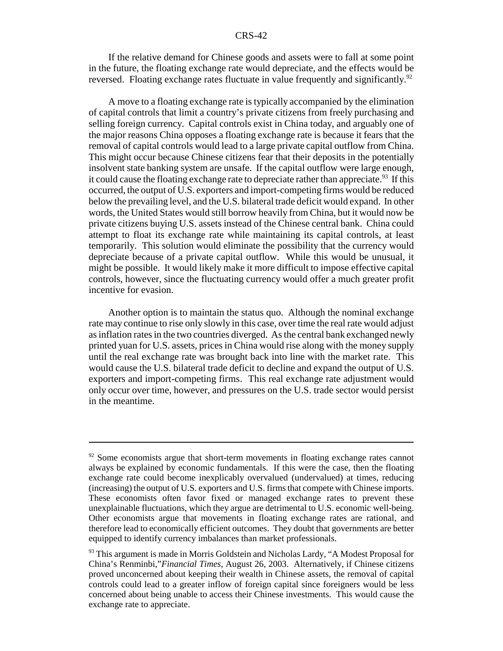If the relative demand for Chinese goods and assets were to fall at some point in the future, the floating exchange rate would depreciate, and the effects would be reversed. Floating exchange rates fluctuate in value frequently and significantly.<sup>92</sup>

A move to a floating exchange rate is typically accompanied by the elimination of capital controls that limit a country's private citizens from freely purchasing and selling foreign currency. Capital controls exist in China today, and arguably one of the major reasons China opposes a floating exchange rate is because it fears that the removal of capital controls would lead to a large private capital outflow from China. This might occur because Chinese citizens fear that their deposits in the potentially insolvent state banking system are unsafe. If the capital outflow were large enough, it could cause the floating exchange rate to depreciate rather than appreciate.<sup>93</sup> If this occurred, the output of U.S. exporters and import-competing firms would be reduced below the prevailing level, and the U.S. bilateral trade deficit would expand. In other words, the United States would still borrow heavily from China, but it would now be private citizens buying U.S. assets instead of the Chinese central bank. China could attempt to float its exchange rate while maintaining its capital controls, at least temporarily. This solution would eliminate the possibility that the currency would depreciate because of a private capital outflow. While this would be unusual, it might be possible. It would likely make it more difficult to impose effective capital controls, however, since the fluctuating currency would offer a much greater profit incentive for evasion.

Another option is to maintain the status quo. Although the nominal exchange rate may continue to rise only slowly in this case, over time the real rate would adjust as inflation rates in the two countries diverged. As the central bank exchanged newly printed yuan for U.S. assets, prices in China would rise along with the money supply until the real exchange rate was brought back into line with the market rate. This would cause the U.S. bilateral trade deficit to decline and expand the output of U.S. exporters and import-competing firms. This real exchange rate adjustment would only occur over time, however, and pressures on the U.S. trade sector would persist in the meantime.

 $92$  Some economists argue that short-term movements in floating exchange rates cannot always be explained by economic fundamentals. If this were the case, then the floating exchange rate could become inexplicably overvalued (undervalued) at times, reducing (increasing) the output of U.S. exporters and U.S. firms that compete with Chinese imports. These economists often favor fixed or managed exchange rates to prevent these unexplainable fluctuations, which they argue are detrimental to U.S. economic well-being. Other economists argue that movements in floating exchange rates are rational, and therefore lead to economically efficient outcomes. They doubt that governments are better equipped to identify currency imbalances than market professionals.

<sup>&</sup>lt;sup>93</sup> This argument is made in Morris Goldstein and Nicholas Lardy, "A Modest Proposal for China's Renminbi,"*Financial Times*, August 26, 2003. Alternatively, if Chinese citizens proved unconcerned about keeping their wealth in Chinese assets, the removal of capital controls could lead to a greater inflow of foreign capital since foreigners would be less concerned about being unable to access their Chinese investments. This would cause the exchange rate to appreciate.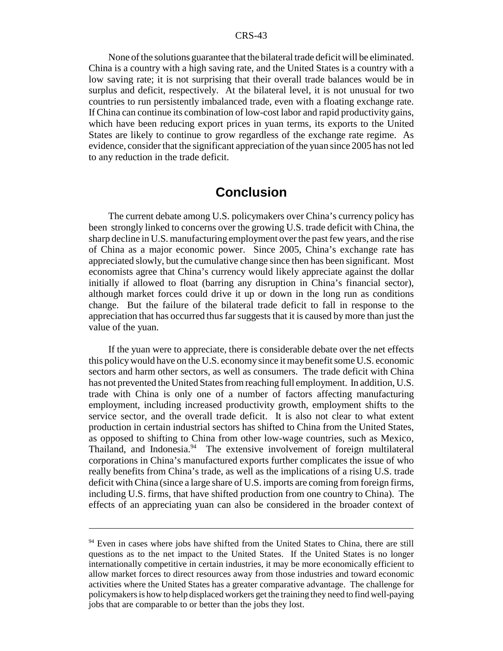None of the solutions guarantee that the bilateral trade deficit will be eliminated. China is a country with a high saving rate, and the United States is a country with a low saving rate; it is not surprising that their overall trade balances would be in surplus and deficit, respectively. At the bilateral level, it is not unusual for two countries to run persistently imbalanced trade, even with a floating exchange rate. If China can continue its combination of low-cost labor and rapid productivity gains, which have been reducing export prices in yuan terms, its exports to the United States are likely to continue to grow regardless of the exchange rate regime. As evidence, consider that the significant appreciation of the yuan since 2005 has not led to any reduction in the trade deficit.

## **Conclusion**

The current debate among U.S. policymakers over China's currency policy has been strongly linked to concerns over the growing U.S. trade deficit with China, the sharp decline in U.S. manufacturing employment over the past few years, and the rise of China as a major economic power. Since 2005, China's exchange rate has appreciated slowly, but the cumulative change since then has been significant. Most economists agree that China's currency would likely appreciate against the dollar initially if allowed to float (barring any disruption in China's financial sector), although market forces could drive it up or down in the long run as conditions change. But the failure of the bilateral trade deficit to fall in response to the appreciation that has occurred thus far suggests that it is caused by more than just the value of the yuan.

If the yuan were to appreciate, there is considerable debate over the net effects this policy would have on the U.S. economy since it may benefit some U.S. economic sectors and harm other sectors, as well as consumers. The trade deficit with China has not prevented the United States from reaching full employment. In addition, U.S. trade with China is only one of a number of factors affecting manufacturing employment, including increased productivity growth, employment shifts to the service sector, and the overall trade deficit. It is also not clear to what extent production in certain industrial sectors has shifted to China from the United States, as opposed to shifting to China from other low-wage countries, such as Mexico, Thailand, and Indonesia.<sup>94</sup> The extensive involvement of foreign multilateral corporations in China's manufactured exports further complicates the issue of who really benefits from China's trade, as well as the implications of a rising U.S. trade deficit with China (since a large share of U.S. imports are coming from foreign firms, including U.S. firms, that have shifted production from one country to China). The effects of an appreciating yuan can also be considered in the broader context of

 $94$  Even in cases where jobs have shifted from the United States to China, there are still questions as to the net impact to the United States. If the United States is no longer internationally competitive in certain industries, it may be more economically efficient to allow market forces to direct resources away from those industries and toward economic activities where the United States has a greater comparative advantage. The challenge for policymakers is how to help displaced workers get the training they need to find well-paying jobs that are comparable to or better than the jobs they lost.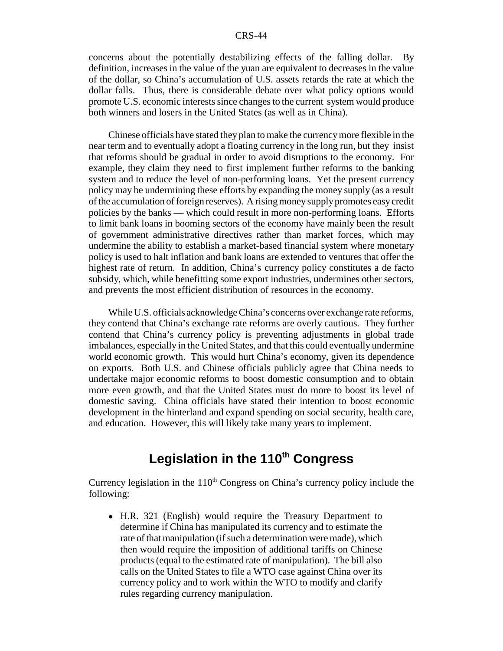concerns about the potentially destabilizing effects of the falling dollar. By definition, increases in the value of the yuan are equivalent to decreases in the value of the dollar, so China's accumulation of U.S. assets retards the rate at which the dollar falls. Thus, there is considerable debate over what policy options would promote U.S. economic interests since changes to the current system would produce both winners and losers in the United States (as well as in China).

Chinese officials have stated they plan to make the currency more flexible in the near term and to eventually adopt a floating currency in the long run, but they insist that reforms should be gradual in order to avoid disruptions to the economy. For example, they claim they need to first implement further reforms to the banking system and to reduce the level of non-performing loans. Yet the present currency policy may be undermining these efforts by expanding the money supply (as a result of the accumulation of foreign reserves). A rising money supply promotes easy credit policies by the banks — which could result in more non-performing loans. Efforts to limit bank loans in booming sectors of the economy have mainly been the result of government administrative directives rather than market forces, which may undermine the ability to establish a market-based financial system where monetary policy is used to halt inflation and bank loans are extended to ventures that offer the highest rate of return. In addition, China's currency policy constitutes a de facto subsidy, which, while benefitting some export industries, undermines other sectors, and prevents the most efficient distribution of resources in the economy.

While U.S. officials acknowledge China's concerns over exchange rate reforms, they contend that China's exchange rate reforms are overly cautious. They further contend that China's currency policy is preventing adjustments in global trade imbalances, especially in the United States, and that this could eventually undermine world economic growth. This would hurt China's economy, given its dependence on exports. Both U.S. and Chinese officials publicly agree that China needs to undertake major economic reforms to boost domestic consumption and to obtain more even growth, and that the United States must do more to boost its level of domestic saving. China officials have stated their intention to boost economic development in the hinterland and expand spending on social security, health care, and education. However, this will likely take many years to implement.

## Legislation in the 110<sup>th</sup> Congress

Currency legislation in the  $110<sup>th</sup>$  Congress on China's currency policy include the following:

• H.R. 321 (English) would require the Treasury Department to determine if China has manipulated its currency and to estimate the rate of that manipulation (if such a determination were made), which then would require the imposition of additional tariffs on Chinese products (equal to the estimated rate of manipulation). The bill also calls on the United States to file a WTO case against China over its currency policy and to work within the WTO to modify and clarify rules regarding currency manipulation.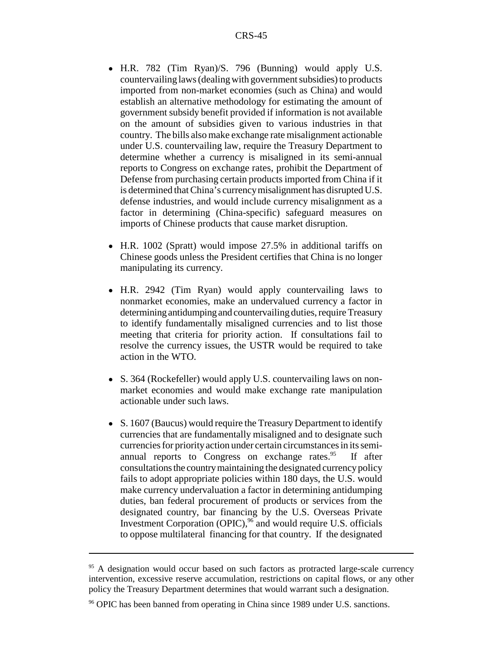- H.R. 782 (Tim Ryan)/S. 796 (Bunning) would apply U.S. countervailing laws (dealing with government subsidies) to products imported from non-market economies (such as China) and would establish an alternative methodology for estimating the amount of government subsidy benefit provided if information is not available on the amount of subsidies given to various industries in that country. The bills also make exchange rate misalignment actionable under U.S. countervailing law, require the Treasury Department to determine whether a currency is misaligned in its semi-annual reports to Congress on exchange rates, prohibit the Department of Defense from purchasing certain products imported from China if it is determined that China's currency misalignment has disrupted U.S. defense industries, and would include currency misalignment as a factor in determining (China-specific) safeguard measures on imports of Chinese products that cause market disruption.
- H.R. 1002 (Spratt) would impose 27.5% in additional tariffs on Chinese goods unless the President certifies that China is no longer manipulating its currency.
- H.R. 2942 (Tim Ryan) would apply countervailing laws to nonmarket economies, make an undervalued currency a factor in determining antidumping and countervailing duties, require Treasury to identify fundamentally misaligned currencies and to list those meeting that criteria for priority action. If consultations fail to resolve the currency issues, the USTR would be required to take action in the WTO.
- S. 364 (Rockefeller) would apply U.S. countervailing laws on nonmarket economies and would make exchange rate manipulation actionable under such laws.
- S. 1607 (Baucus) would require the Treasury Department to identify currencies that are fundamentally misaligned and to designate such currencies for priority action under certain circumstances in its semiannual reports to Congress on exchange rates. $95$  If after consultations the country maintaining the designated currency policy fails to adopt appropriate policies within 180 days, the U.S. would make currency undervaluation a factor in determining antidumping duties, ban federal procurement of products or services from the designated country, bar financing by the U.S. Overseas Private Investment Corporation  $(OPIC)$ ,<sup>96</sup> and would require U.S. officials to oppose multilateral financing for that country. If the designated

<sup>&</sup>lt;sup>95</sup> A designation would occur based on such factors as protracted large-scale currency intervention, excessive reserve accumulation, restrictions on capital flows, or any other policy the Treasury Department determines that would warrant such a designation.

<sup>&</sup>lt;sup>96</sup> OPIC has been banned from operating in China since 1989 under U.S. sanctions.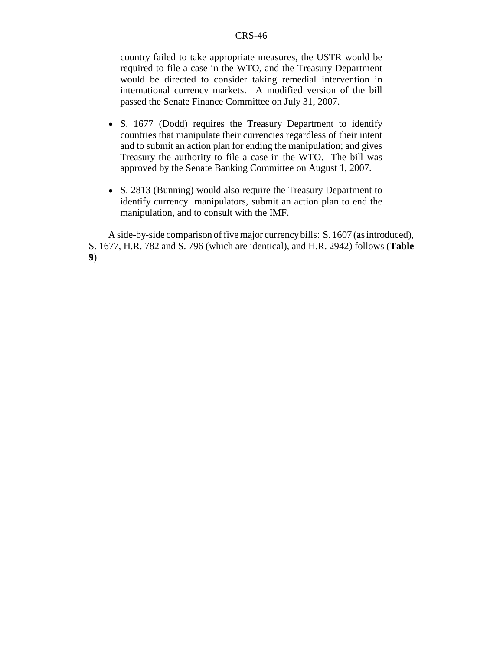country failed to take appropriate measures, the USTR would be required to file a case in the WTO, and the Treasury Department would be directed to consider taking remedial intervention in international currency markets. A modified version of the bill passed the Senate Finance Committee on July 31, 2007.

- S. 1677 (Dodd) requires the Treasury Department to identify countries that manipulate their currencies regardless of their intent and to submit an action plan for ending the manipulation; and gives Treasury the authority to file a case in the WTO. The bill was approved by the Senate Banking Committee on August 1, 2007.
- S. 2813 (Bunning) would also require the Treasury Department to identify currency manipulators, submit an action plan to end the manipulation, and to consult with the IMF.

A side-by-side comparison of five major currency bills: S. 1607 (as introduced), S. 1677, H.R. 782 and S. 796 (which are identical), and H.R. 2942) follows (**Table 9**).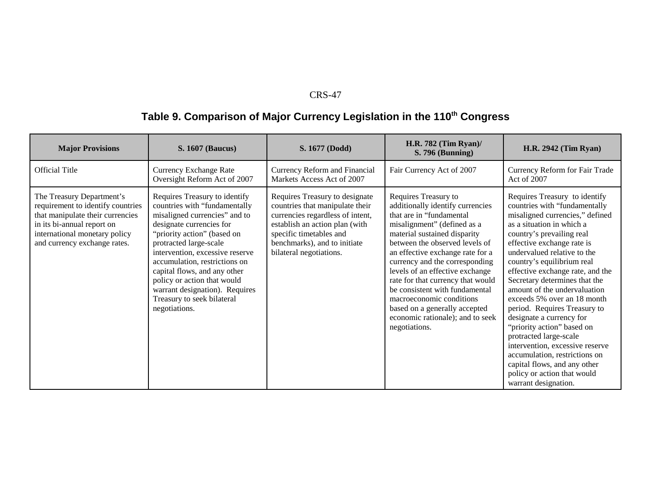# Table 9. Comparison of Major Currency Legislation in the 110<sup>th</sup> Congress

| <b>Major Provisions</b>                                                                                                                                                                           | <b>S. 1607 (Baucus)</b>                                                                                                                                                                                                                                                                                                                                                                                  | S. 1677 (Dodd)                                                                                                                                                                                                                | H.R. 782 (Tim Ryan)/<br><b>S. 796 (Bunning)</b>                                                                                                                                                                                                                                                                                                                                                                                                                                         | <b>H.R. 2942 (Tim Ryan)</b>                                                                                                                                                                                                                                                                                                                                                                                                                                                                                                                                                                                                                                               |
|---------------------------------------------------------------------------------------------------------------------------------------------------------------------------------------------------|----------------------------------------------------------------------------------------------------------------------------------------------------------------------------------------------------------------------------------------------------------------------------------------------------------------------------------------------------------------------------------------------------------|-------------------------------------------------------------------------------------------------------------------------------------------------------------------------------------------------------------------------------|-----------------------------------------------------------------------------------------------------------------------------------------------------------------------------------------------------------------------------------------------------------------------------------------------------------------------------------------------------------------------------------------------------------------------------------------------------------------------------------------|---------------------------------------------------------------------------------------------------------------------------------------------------------------------------------------------------------------------------------------------------------------------------------------------------------------------------------------------------------------------------------------------------------------------------------------------------------------------------------------------------------------------------------------------------------------------------------------------------------------------------------------------------------------------------|
| <b>Official Title</b>                                                                                                                                                                             | <b>Currency Exchange Rate</b><br>Oversight Reform Act of 2007                                                                                                                                                                                                                                                                                                                                            | Currency Reform and Financial<br>Markets Access Act of 2007                                                                                                                                                                   | Fair Currency Act of 2007                                                                                                                                                                                                                                                                                                                                                                                                                                                               | Currency Reform for Fair Trade<br>Act of 2007                                                                                                                                                                                                                                                                                                                                                                                                                                                                                                                                                                                                                             |
| The Treasury Department's<br>requirement to identify countries<br>that manipulate their currencies<br>in its bi-annual report on<br>international monetary policy<br>and currency exchange rates. | Requires Treasury to identify<br>countries with "fundamentally<br>misaligned currencies" and to<br>designate currencies for<br>"priority action" (based on<br>protracted large-scale<br>intervention, excessive reserve<br>accumulation, restrictions on<br>capital flows, and any other<br>policy or action that would<br>warrant designation). Requires<br>Treasury to seek bilateral<br>negotiations. | Requires Treasury to designate<br>countries that manipulate their<br>currencies regardless of intent,<br>establish an action plan (with<br>specific timetables and<br>benchmarks), and to initiate<br>bilateral negotiations. | Requires Treasury to<br>additionally identify currencies<br>that are in "fundamental<br>misalignment" (defined as a<br>material sustained disparity<br>between the observed levels of<br>an effective exchange rate for a<br>currency and the corresponding<br>levels of an effective exchange<br>rate for that currency that would<br>be consistent with fundamental<br>macroeconomic conditions<br>based on a generally accepted<br>economic rationale); and to seek<br>negotiations. | Requires Treasury to identify<br>countries with "fundamentally<br>misaligned currencies," defined<br>as a situation in which a<br>country's prevailing real<br>effective exchange rate is<br>undervalued relative to the<br>country's equilibrium real<br>effective exchange rate, and the<br>Secretary determines that the<br>amount of the undervaluation<br>exceeds 5% over an 18 month<br>period. Requires Treasury to<br>designate a currency for<br>"priority action" based on<br>protracted large-scale<br>intervention, excessive reserve<br>accumulation, restrictions on<br>capital flows, and any other<br>policy or action that would<br>warrant designation. |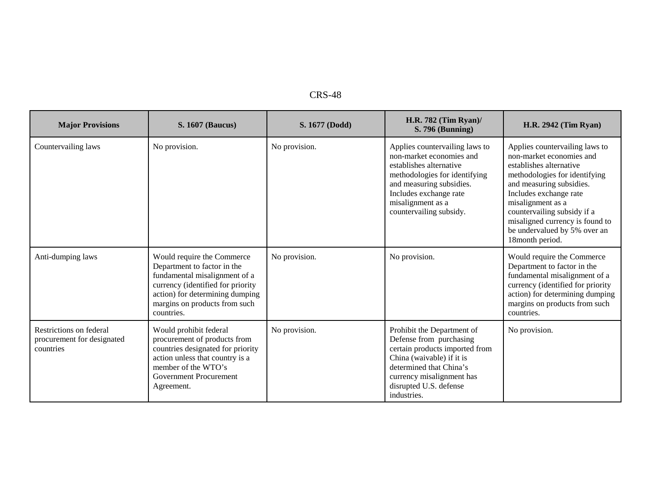| <b>Major Provisions</b>                                            | S. 1607 (Baucus)                                                                                                                                                                                                  | S. 1677 (Dodd) | H.R. 782 (Tim Ryan)/<br><b>S. 796 (Bunning)</b>                                                                                                                                                                              | <b>H.R. 2942 (Tim Ryan)</b>                                                                                                                                                                                                                                                                                            |
|--------------------------------------------------------------------|-------------------------------------------------------------------------------------------------------------------------------------------------------------------------------------------------------------------|----------------|------------------------------------------------------------------------------------------------------------------------------------------------------------------------------------------------------------------------------|------------------------------------------------------------------------------------------------------------------------------------------------------------------------------------------------------------------------------------------------------------------------------------------------------------------------|
| Countervailing laws                                                | No provision.                                                                                                                                                                                                     | No provision.  | Applies countervailing laws to<br>non-market economies and<br>establishes alternative<br>methodologies for identifying<br>and measuring subsidies.<br>Includes exchange rate<br>misalignment as a<br>countervailing subsidy. | Applies countervailing laws to<br>non-market economies and<br>establishes alternative<br>methodologies for identifying<br>and measuring subsidies.<br>Includes exchange rate<br>misalignment as a<br>countervailing subsidy if a<br>misaligned currency is found to<br>be undervalued by 5% over an<br>18month period. |
| Anti-dumping laws                                                  | Would require the Commerce<br>Department to factor in the<br>fundamental misalignment of a<br>currency (identified for priority<br>action) for determining dumping<br>margins on products from such<br>countries. | No provision.  | No provision.                                                                                                                                                                                                                | Would require the Commerce<br>Department to factor in the<br>fundamental misalignment of a<br>currency (identified for priority<br>action) for determining dumping<br>margins on products from such<br>countries.                                                                                                      |
| Restrictions on federal<br>procurement for designated<br>countries | Would prohibit federal<br>procurement of products from<br>countries designated for priority<br>action unless that country is a<br>member of the WTO's<br>Government Procurement<br>Agreement.                     | No provision.  | Prohibit the Department of<br>Defense from purchasing<br>certain products imported from<br>China (waivable) if it is<br>determined that China's<br>currency misalignment has<br>disrupted U.S. defense<br>industries.        | No provision.                                                                                                                                                                                                                                                                                                          |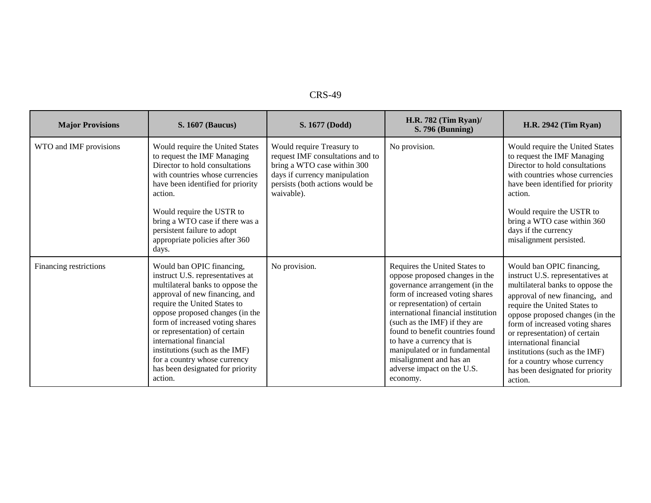| <b>Major Provisions</b> | <b>S. 1607 (Baucus)</b>                                                                                                                                                                                                                                                                                                                                                                                                | S. 1677 (Dodd)                                                                                                                                                                 | H.R. 782 (Tim Ryan)/<br><b>S. 796 (Bunning)</b>                                                                                                                                                                                                                                                                                                                                                                       | <b>H.R. 2942 (Tim Ryan)</b>                                                                                                                                                                                                                                                                                                                                                                                            |
|-------------------------|------------------------------------------------------------------------------------------------------------------------------------------------------------------------------------------------------------------------------------------------------------------------------------------------------------------------------------------------------------------------------------------------------------------------|--------------------------------------------------------------------------------------------------------------------------------------------------------------------------------|-----------------------------------------------------------------------------------------------------------------------------------------------------------------------------------------------------------------------------------------------------------------------------------------------------------------------------------------------------------------------------------------------------------------------|------------------------------------------------------------------------------------------------------------------------------------------------------------------------------------------------------------------------------------------------------------------------------------------------------------------------------------------------------------------------------------------------------------------------|
| WTO and IMF provisions  | Would require the United States<br>to request the IMF Managing<br>Director to hold consultations<br>with countries whose currencies<br>have been identified for priority<br>action.<br>Would require the USTR to<br>bring a WTO case if there was a<br>persistent failure to adopt<br>appropriate policies after 360<br>days.                                                                                          | Would require Treasury to<br>request IMF consultations and to<br>bring a WTO case within 300<br>days if currency manipulation<br>persists (both actions would be<br>waivable). | No provision.                                                                                                                                                                                                                                                                                                                                                                                                         | Would require the United States<br>to request the IMF Managing<br>Director to hold consultations<br>with countries whose currencies<br>have been identified for priority<br>action.<br>Would require the USTR to<br>bring a WTO case within 360<br>days if the currency<br>misalignment persisted.                                                                                                                     |
| Financing restrictions  | Would ban OPIC financing,<br>instruct U.S. representatives at<br>multilateral banks to oppose the<br>approval of new financing, and<br>require the United States to<br>oppose proposed changes (in the<br>form of increased voting shares<br>or representation) of certain<br>international financial<br>institutions (such as the IMF)<br>for a country whose currency<br>has been designated for priority<br>action. | No provision.                                                                                                                                                                  | Requires the United States to<br>oppose proposed changes in the<br>governance arrangement (in the<br>form of increased voting shares<br>or representation) of certain<br>international financial institution<br>(such as the IMF) if they are<br>found to benefit countries found<br>to have a currency that is<br>manipulated or in fundamental<br>misalignment and has an<br>adverse impact on the U.S.<br>economy. | Would ban OPIC financing,<br>instruct U.S. representatives at<br>multilateral banks to oppose the<br>approval of new financing, and<br>require the United States to<br>oppose proposed changes (in the<br>form of increased voting shares<br>or representation) of certain<br>international financial<br>institutions (such as the IMF)<br>for a country whose currency<br>has been designated for priority<br>action. |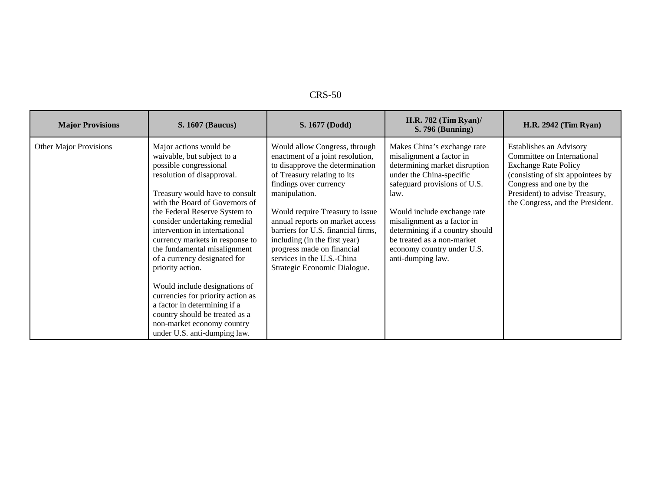| <b>Major Provisions</b>       | <b>S. 1607 (Baucus)</b>                                                                                                                                                                                                                                                                                                                                                                                    | S. 1677 (Dodd)                                                                                                                                                                                                                                                                                                                                                                                                          | <b>H.R. 782 (Tim Ryan)/</b><br><b>S. 796 (Bunning)</b>                                                                                                                                                                                                                                                                                         | <b>H.R. 2942 (Tim Ryan)</b>                                                                                                                                                                                               |
|-------------------------------|------------------------------------------------------------------------------------------------------------------------------------------------------------------------------------------------------------------------------------------------------------------------------------------------------------------------------------------------------------------------------------------------------------|-------------------------------------------------------------------------------------------------------------------------------------------------------------------------------------------------------------------------------------------------------------------------------------------------------------------------------------------------------------------------------------------------------------------------|------------------------------------------------------------------------------------------------------------------------------------------------------------------------------------------------------------------------------------------------------------------------------------------------------------------------------------------------|---------------------------------------------------------------------------------------------------------------------------------------------------------------------------------------------------------------------------|
| <b>Other Major Provisions</b> | Major actions would be<br>waivable, but subject to a<br>possible congressional<br>resolution of disapproval.<br>Treasury would have to consult<br>with the Board of Governors of<br>the Federal Reserve System to<br>consider undertaking remedial<br>intervention in international<br>currency markets in response to<br>the fundamental misalignment<br>of a currency designated for<br>priority action. | Would allow Congress, through<br>enactment of a joint resolution,<br>to disapprove the determination<br>of Treasury relating to its<br>findings over currency<br>manipulation.<br>Would require Treasury to issue<br>annual reports on market access<br>barriers for U.S. financial firms,<br>including (in the first year)<br>progress made on financial<br>services in the U.S.-China<br>Strategic Economic Dialogue. | Makes China's exchange rate<br>misalignment a factor in<br>determining market disruption<br>under the China-specific<br>safeguard provisions of U.S.<br>law.<br>Would include exchange rate<br>misalignment as a factor in<br>determining if a country should<br>be treated as a non-market<br>economy country under U.S.<br>anti-dumping law. | Establishes an Advisory<br>Committee on International<br><b>Exchange Rate Policy</b><br>(consisting of six appointees by<br>Congress and one by the<br>President) to advise Treasury,<br>the Congress, and the President. |
|                               | Would include designations of<br>currencies for priority action as<br>a factor in determining if a<br>country should be treated as a<br>non-market economy country<br>under U.S. anti-dumping law.                                                                                                                                                                                                         |                                                                                                                                                                                                                                                                                                                                                                                                                         |                                                                                                                                                                                                                                                                                                                                                |                                                                                                                                                                                                                           |